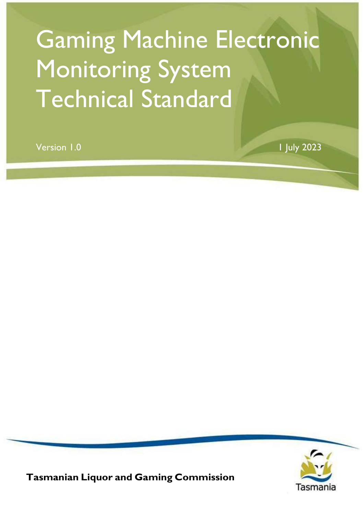# Gaming Machine Electronic Monitoring System Technical Standard

Version 1.0 1 July 2023



Tasmanian Liquor and Gaming Commission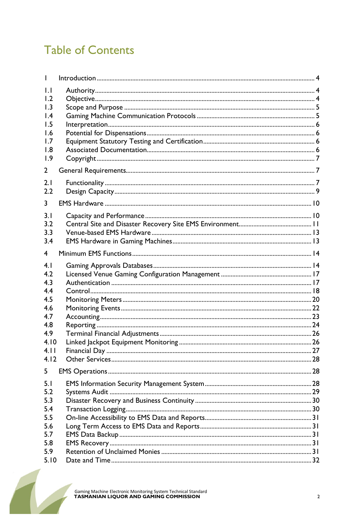# **Table of Contents**

| $\mathbf{L}$    |  |
|-----------------|--|
| 1.2             |  |
| 1.3             |  |
| $\mathsf{I}$ .4 |  |
| 1.5             |  |
| 1.6             |  |
| 1.7             |  |
| 1.8             |  |
| 1.9             |  |
| 2               |  |
| 2.1             |  |
| 2.2             |  |
|                 |  |
| 3               |  |
| 3.1             |  |
| 3.2             |  |
| 3.3             |  |
| 3.4             |  |
| $\overline{4}$  |  |
| 4.1             |  |
| 4.2             |  |
| 4.3             |  |
| 4.4             |  |
| 4.5             |  |
| 4.6             |  |
| 4.7             |  |
| 4.8             |  |
| 4.9             |  |
| 4.10            |  |
| 4.11            |  |
| 4.12            |  |
| 5               |  |
| 5.1             |  |
| 5.2             |  |
| 5.3             |  |
| 5.4             |  |
| 5.5             |  |
| 5.6             |  |
| 5.7             |  |
| 5.8             |  |
| 5.9             |  |
| 5.10            |  |
|                 |  |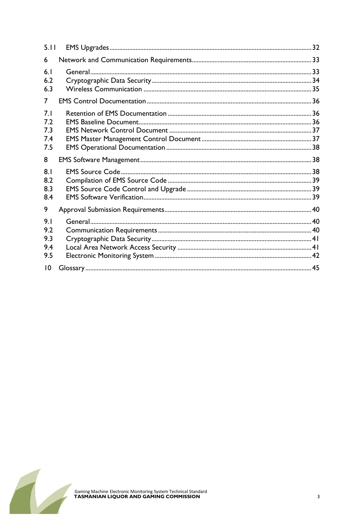| 5.11                            |  |
|---------------------------------|--|
| 6                               |  |
| 6.1<br>6.2<br>6.3               |  |
| 7                               |  |
| 7.1<br>7.2<br>7.3<br>7.4<br>7.5 |  |
| 8                               |  |
| 8.1<br>8.2<br>8.3<br>8.4        |  |
| 9                               |  |
| 9.1<br>9.2<br>9.3<br>9.4<br>9.5 |  |
| $\overline{10}$                 |  |

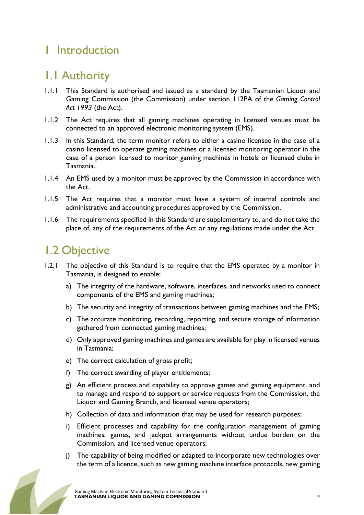### 1 Introduction

### 1.1 Authority

- 1.1.1 This Standard is authorised and issued as a standard by the Tasmanian Liquor and Gaming Commission (the Commission) under section 112PA of the Gaming Control Act 1993 (the Act).
- 1.1.2 The Act requires that all gaming machines operating in licensed venues must be connected to an approved electronic monitoring system (EMS).
- 1.1.3 In this Standard, the term monitor refers to either a casino licensee in the case of a casino licensed to operate gaming machines or a licensed monitoring operator in the case of a person licensed to monitor gaming machines in hotels or licensed clubs in Tasmania.
- 1.1.4 An EMS used by a monitor must be approved by the Commission in accordance with the Act.
- 1.1.5 The Act requires that a monitor must have a system of internal controls and administrative and accounting procedures approved by the Commission.
- 1.1.6 The requirements specified in this Standard are supplementary to, and do not take the place of, any of the requirements of the Act or any regulations made under the Act.

### 1.2 Objective

- 1.2.1 The objective of this Standard is to require that the EMS operated by a monitor in Tasmania, is designed to enable:
	- a) The integrity of the hardware, software, interfaces, and networks used to connect components of the EMS and gaming machines;
	- b) The security and integrity of transactions between gaming machines and the EMS;
	- c) The accurate monitoring, recording, reporting, and secure storage of information gathered from connected gaming machines;
	- d) Only approved gaming machines and games are available for play in licensed venues in Tasmania;
	- e) The correct calculation of gross profit;
	- f) The correct awarding of player entitlements;
	- g) An efficient process and capability to approve games and gaming equipment, and to manage and respond to support or service requests from the Commission, the Liquor and Gaming Branch, and licensed venue operators;
	- h) Collection of data and information that may be used for research purposes;
	- i) Efficient processes and capability for the configuration management of gaming machines, games, and jackpot arrangements without undue burden on the Commission, and licensed venue operators;
	- j) The capability of being modified or adapted to incorporate new technologies over the term of a licence, such as new gaming machine interface protocols, new gaming

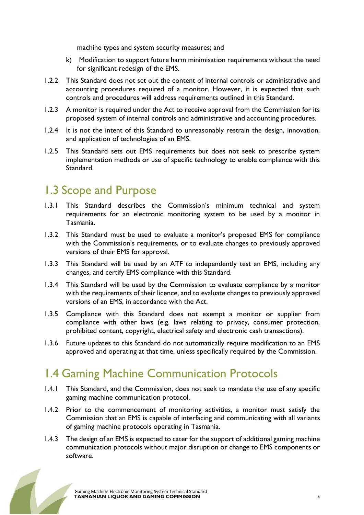machine types and system security measures; and

- k) Modification to support future harm minimisation requirements without the need for significant redesign of the EMS.
- 1.2.2 This Standard does not set out the content of internal controls or administrative and accounting procedures required of a monitor. However, it is expected that such controls and procedures will address requirements outlined in this Standard.
- 1.2.3 A monitor is required under the Act to receive approval from the Commission for its proposed system of internal controls and administrative and accounting procedures.
- 1.2.4 It is not the intent of this Standard to unreasonably restrain the design, innovation, and application of technologies of an EMS.
- 1.2.5 This Standard sets out EMS requirements but does not seek to prescribe system implementation methods or use of specific technology to enable compliance with this Standard.

### 1.3 Scope and Purpose

- 1.3.1 This Standard describes the Commission's minimum technical and system requirements for an electronic monitoring system to be used by a monitor in Tasmania.
- 1.3.2 This Standard must be used to evaluate a monitor's proposed EMS for compliance with the Commission's requirements, or to evaluate changes to previously approved versions of their EMS for approval.
- 1.3.3 This Standard will be used by an ATF to independently test an EMS, including any changes, and certify EMS compliance with this Standard.
- 1.3.4 This Standard will be used by the Commission to evaluate compliance by a monitor with the requirements of their licence, and to evaluate changes to previously approved versions of an EMS, in accordance with the Act.
- 1.3.5 Compliance with this Standard does not exempt a monitor or supplier from compliance with other laws (e.g. laws relating to privacy, consumer protection, prohibited content, copyright, electrical safety and electronic cash transactions).
- 1.3.6 Future updates to this Standard do not automatically require modification to an EMS approved and operating at that time, unless specifically required by the Commission.

### 1.4 Gaming Machine Communication Protocols

- 1.4.1 This Standard, and the Commission, does not seek to mandate the use of any specific gaming machine communication protocol.
- 1.4.2 Prior to the commencement of monitoring activities, a monitor must satisfy the Commission that an EMS is capable of interfacing and communicating with all variants of gaming machine protocols operating in Tasmania.
- 1.4.3 The design of an EMS is expected to cater for the support of additional gaming machine communication protocols without major disruption or change to EMS components or software.

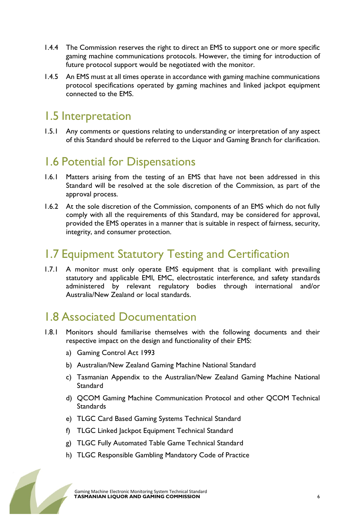- 1.4.4 The Commission reserves the right to direct an EMS to support one or more specific gaming machine communications protocols. However, the timing for introduction of future protocol support would be negotiated with the monitor.
- 1.4.5 An EMS must at all times operate in accordance with gaming machine communications protocol specifications operated by gaming machines and linked jackpot equipment connected to the EMS.

### 1.5 Interpretation

1.5.1 Any comments or questions relating to understanding or interpretation of any aspect of this Standard should be referred to the Liquor and Gaming Branch for clarification.

### 1.6 Potential for Dispensations

- 1.6.1 Matters arising from the testing of an EMS that have not been addressed in this Standard will be resolved at the sole discretion of the Commission, as part of the approval process.
- 1.6.2 At the sole discretion of the Commission, components of an EMS which do not fully comply with all the requirements of this Standard, may be considered for approval, provided the EMS operates in a manner that is suitable in respect of fairness, security, integrity, and consumer protection.

# 1.7 Equipment Statutory Testing and Certification

1.7.1 A monitor must only operate EMS equipment that is compliant with prevailing statutory and applicable EMI, EMC, electrostatic interference, and safety standards administered by relevant regulatory bodies through international and/or Australia/New Zealand or local standards.

### 1.8 Associated Documentation

- 1.8.1 Monitors should familiarise themselves with the following documents and their respective impact on the design and functionality of their EMS:
	- a) Gaming Control Act 1993
	- b) Australian/New Zealand Gaming Machine National Standard
	- c) Tasmanian Appendix to the Australian/New Zealand Gaming Machine National Standard
	- d) QCOM Gaming Machine Communication Protocol and other QCOM Technical **Standards**
	- e) TLGC Card Based Gaming Systems Technical Standard
	- f) TLGC Linked Jackpot Equipment Technical Standard
	- g) TLGC Fully Automated Table Game Technical Standard
	- h) TLGC Responsible Gambling Mandatory Code of Practice

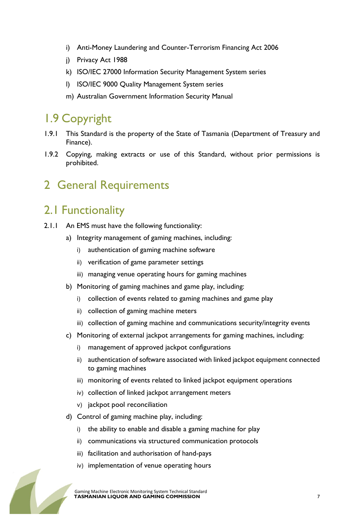- i) Anti-Money Laundering and Counter-Terrorism Financing Act 2006
- j) Privacy Act 1988
- k) ISO/IEC 27000 Information Security Management System series
- l) ISO/IEC 9000 Quality Management System series
- m) Australian Government Information Security Manual

### 1.9 Copyright

- 1.9.1 This Standard is the property of the State of Tasmania (Department of Treasury and Finance).
- 1.9.2 Copying, making extracts or use of this Standard, without prior permissions is prohibited.

### 2 General Requirements

### 2.1 Functionality

- 2.1.1 An EMS must have the following functionality:
	- a) Integrity management of gaming machines, including:
		- i) authentication of gaming machine software
		- ii) verification of game parameter settings
		- iii) managing venue operating hours for gaming machines
	- b) Monitoring of gaming machines and game play, including:
		- i) collection of events related to gaming machines and game play
		- ii) collection of gaming machine meters
		- iii) collection of gaming machine and communications security/integrity events
	- c) Monitoring of external jackpot arrangements for gaming machines, including:
		- i) management of approved jackpot configurations
		- ii) authentication of software associated with linked jackpot equipment connected to gaming machines
		- iii) monitoring of events related to linked jackpot equipment operations
		- iv) collection of linked jackpot arrangement meters
		- v) jackpot pool reconciliation
	- d) Control of gaming machine play, including:
		- i) the ability to enable and disable a gaming machine for play
		- ii) communications via structured communication protocols
		- iii) facilitation and authorisation of hand-pays
		- iv) implementation of venue operating hours

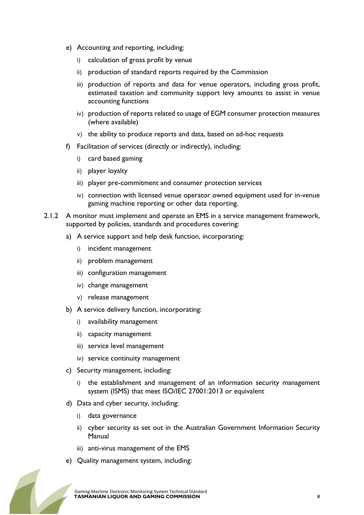- e) Accounting and reporting, including:
	- i) calculation of gross profit by venue
	- ii) production of standard reports required by the Commission
	- iii) production of reports and data for venue operators, including gross profit, estimated taxation and community support levy amounts to assist in venue accounting functions
	- iv) production of reports related to usage of EGM consumer protection measures (where available)
	- v) the ability to produce reports and data, based on ad-hoc requests
- f) Facilitation of services (directly or indirectly), including:
	- i) card based gaming
	- ii) player loyalty
	- iii) player pre-commitment and consumer protection services
	- iv) connection with licensed venue operator owned equipment used for in-venue gaming machine reporting or other data reporting.
- 2.1.2 A monitor must implement and operate an EMS in a service management framework, supported by policies, standards and procedures covering:
	- a) A service support and help desk function, incorporating:
		- i) incident management
		- ii) problem management
		- iii) configuration management
		- iv) change management
		- v) release management
	- b) A service delivery function, incorporating:
		- i) availability management
		- ii) capacity management
		- iii) service level management
		- iv) service continuity management
	- c) Security management, including:
		- i) the establishment and management of an information security management system (ISMS) that meet ISO/IEC 27001:2013 or equivalent
	- d) Data and cyber security, including:
		- i) data governance
		- ii) cyber security as set out in the Australian Government Information Security Manual
		- iii) anti-virus management of the EMS
	- e) Quality management system, including:

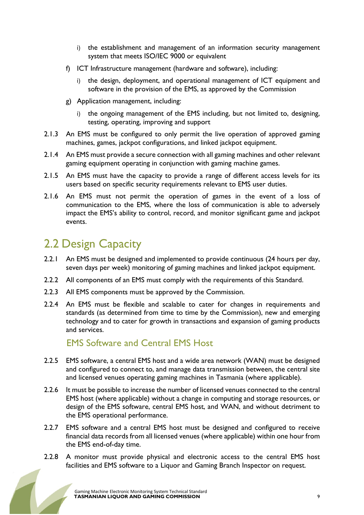- i) the establishment and management of an information security management system that meets ISO/IEC 9000 or equivalent
- f) ICT Infrastructure management (hardware and software), including:
	- i) the design, deployment, and operational management of ICT equipment and software in the provision of the EMS, as approved by the Commission
- g) Application management, including:
	- i) the ongoing management of the EMS including, but not limited to, designing, testing, operating, improving and support
- 2.1.3 An EMS must be configured to only permit the live operation of approved gaming machines, games, jackpot configurations, and linked jackpot equipment.
- 2.1.4 An EMS must provide a secure connection with all gaming machines and other relevant gaming equipment operating in conjunction with gaming machine games.
- 2.1.5 An EMS must have the capacity to provide a range of different access levels for its users based on specific security requirements relevant to EMS user duties.
- 2.1.6 An EMS must not permit the operation of games in the event of a loss of communication to the EMS, where the loss of communication is able to adversely impact the EMS's ability to control, record, and monitor significant game and jackpot events.

### 2.2 Design Capacity

- 2.2.1 An EMS must be designed and implemented to provide continuous (24 hours per day, seven days per week) monitoring of gaming machines and linked jackpot equipment.
- 2.2.2 All components of an EMS must comply with the requirements of this Standard.
- 2.2.3 All EMS components must be approved by the Commission.
- 2.2.4 An EMS must be flexible and scalable to cater for changes in requirements and standards (as determined from time to time by the Commission), new and emerging technology and to cater for growth in transactions and expansion of gaming products and services.

#### EMS Software and Central EMS Host

- 2.2.5 EMS software, a central EMS host and a wide area network (WAN) must be designed and configured to connect to, and manage data transmission between, the central site and licensed venues operating gaming machines in Tasmania (where applicable).
- 2.2.6 It must be possible to increase the number of licensed venues connected to the central EMS host (where applicable) without a change in computing and storage resources, or design of the EMS software, central EMS host, and WAN, and without detriment to the EMS operational performance.
- 2.2.7 EMS software and a central EMS host must be designed and configured to receive financial data records from all licensed venues (where applicable) within one hour from the EMS end-of-day time.
- 2.2.8 A monitor must provide physical and electronic access to the central EMS host facilities and EMS software to a Liquor and Gaming Branch Inspector on request.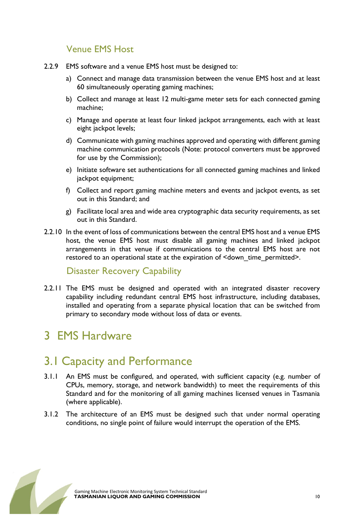#### Venue EMS Host

- 2.2.9 EMS software and a venue EMS host must be designed to:
	- a) Connect and manage data transmission between the venue EMS host and at least 60 simultaneously operating gaming machines;
	- b) Collect and manage at least 12 multi-game meter sets for each connected gaming machine;
	- c) Manage and operate at least four linked jackpot arrangements, each with at least eight jackpot levels;
	- d) Communicate with gaming machines approved and operating with different gaming machine communication protocols (Note: protocol converters must be approved for use by the Commission);
	- e) Initiate software set authentications for all connected gaming machines and linked jackpot equipment;
	- f) Collect and report gaming machine meters and events and jackpot events, as set out in this Standard; and
	- g) Facilitate local area and wide area cryptographic data security requirements, as set out in this Standard.
- 2.2.10 In the event of loss of communications between the central EMS host and a venue EMS host, the venue EMS host must disable all gaming machines and linked jackpot arrangements in that venue if communications to the central EMS host are not restored to an operational state at the expiration of <down\_time\_permitted>.

#### Disaster Recovery Capability

2.2.11 The EMS must be designed and operated with an integrated disaster recovery capability including redundant central EMS host infrastructure, including databases, installed and operating from a separate physical location that can be switched from primary to secondary mode without loss of data or events.

### 3 EMS Hardware

### 3.1 Capacity and Performance

- 3.1.1 An EMS must be configured, and operated, with sufficient capacity (e.g. number of CPUs, memory, storage, and network bandwidth) to meet the requirements of this Standard and for the monitoring of all gaming machines licensed venues in Tasmania (where applicable).
- 3.1.2 The architecture of an EMS must be designed such that under normal operating conditions, no single point of failure would interrupt the operation of the EMS.

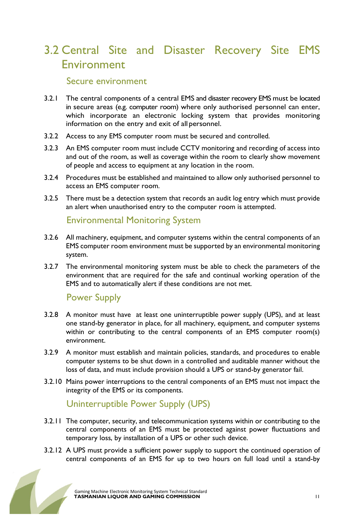### 3.2 Central Site and Disaster Recovery Site EMS **Environment**

#### Secure environment

- 3.2.1 The central components of a central EMS and disaster recovery EMS must be located in secure areas (e.g. computer room) where only authorised personnel can enter, which incorporate an electronic locking system that provides monitoring information on the entry and exit of all personnel.
- 3.2.2 Access to any EMS computer room must be secured and controlled.
- 3.2.3 An EMS computer room must include CCTV monitoring and recording of access into and out of the room, as well as coverage within the room to clearly show movement of people and access to equipment at any location in the room.
- 3.2.4 Procedures must be established and maintained to allow only authorised personnel to access an EMS computer room.
- 3.2.5 There must be a detection system that records an audit log entry which must provide an alert when unauthorised entry to the computer room is attempted.

#### Environmental Monitoring System

- 3.2.6 All machinery, equipment, and computer systems within the central components of an EMS computer room environment must be supported by an environmental monitoring system.
- 3.2.7 The environmental monitoring system must be able to check the parameters of the environment that are required for the safe and continual working operation of the EMS and to automatically alert if these conditions are not met.

#### Power Supply

- 3.2.8 A monitor must have at least one uninterruptible power supply (UPS), and at least one stand-by generator in place, for all machinery, equipment, and computer systems within or contributing to the central components of an EMS computer room(s) environment.
- 3.2.9 A monitor must establish and maintain policies, standards, and procedures to enable computer systems to be shut down in a controlled and auditable manner without the loss of data, and must include provision should a UPS or stand-by generator fail.
- 3.2.10 Mains power interruptions to the central components of an EMS must not impact the integrity of the EMS or its components.

#### Uninterruptible Power Supply (UPS)

- 3.2.11 The computer, security, and telecommunication systems within or contributing to the central components of an EMS must be protected against power fluctuations and temporary loss, by installation of a UPS or other such device.
- 3.2.12 A UPS must provide a sufficient power supply to support the continued operation of central components of an EMS for up to two hours on full load until a stand-by

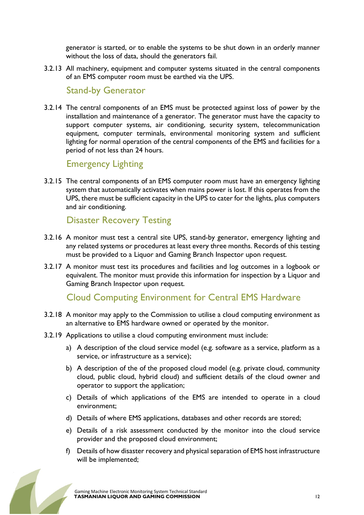generator is started, or to enable the systems to be shut down in an orderly manner without the loss of data, should the generators fail.

3.2.13 All machinery, equipment and computer systems situated in the central components of an EMS computer room must be earthed via the UPS.

#### Stand-by Generator

3.2.14 The central components of an EMS must be protected against loss of power by the installation and maintenance of a generator. The generator must have the capacity to support computer systems, air conditioning, security system, telecommunication equipment, computer terminals, environmental monitoring system and sufficient lighting for normal operation of the central components of the EMS and facilities for a period of not less than 24 hours.

#### Emergency Lighting

3.2.15 The central components of an EMS computer room must have an emergency lighting system that automatically activates when mains power is lost. If this operates from the UPS, there must be sufficient capacity in the UPS to cater for the lights, plus computers and air conditioning.

#### Disaster Recovery Testing

- 3.2.16 A monitor must test a central site UPS, stand-by generator, emergency lighting and any related systems or procedures at least every three months. Records of this testing must be provided to a Liquor and Gaming Branch Inspector upon request.
- 3.2.17 A monitor must test its procedures and facilities and log outcomes in a logbook or equivalent. The monitor must provide this information for inspection by a Liquor and Gaming Branch Inspector upon request.

#### Cloud Computing Environment for Central EMS Hardware

- 3.2.18 A monitor may apply to the Commission to utilise a cloud computing environment as an alternative to EMS hardware owned or operated by the monitor.
- 3.2.19 Applications to utilise a cloud computing environment must include:
	- a) A description of the cloud service model (e.g. software as a service, platform as a service, or infrastructure as a service);
	- b) A description of the of the proposed cloud model (e.g. private cloud, community cloud, public cloud, hybrid cloud) and sufficient details of the cloud owner and operator to support the application;
	- c) Details of which applications of the EMS are intended to operate in a cloud environment;
	- d) Details of where EMS applications, databases and other records are stored;
	- e) Details of a risk assessment conducted by the monitor into the cloud service provider and the proposed cloud environment;
	- f) Details of how disaster recovery and physical separation of EMS host infrastructure will be implemented;

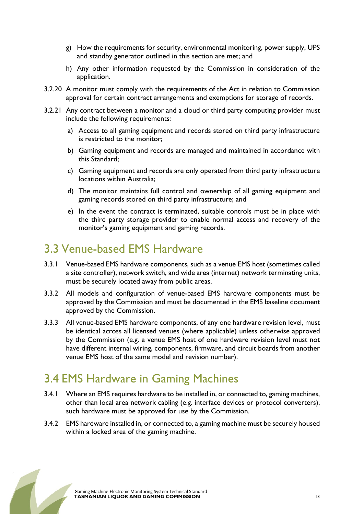- g) How the requirements for security, environmental monitoring, power supply, UPS and standby generator outlined in this section are met; and
- h) Any other information requested by the Commission in consideration of the application.
- 3.2.20 A monitor must comply with the requirements of the Act in relation to Commission approval for certain contract arrangements and exemptions for storage of records.
- 3.2.21 Any contract between a monitor and a cloud or third party computing provider must include the following requirements:
	- a) Access to all gaming equipment and records stored on third party infrastructure is restricted to the monitor;
	- b) Gaming equipment and records are managed and maintained in accordance with this Standard;
	- c) Gaming equipment and records are only operated from third party infrastructure locations within Australia;
	- d) The monitor maintains full control and ownership of all gaming equipment and gaming records stored on third party infrastructure; and
	- e) In the event the contract is terminated, suitable controls must be in place with the third party storage provider to enable normal access and recovery of the monitor's gaming equipment and gaming records.

### 3.3 Venue-based EMS Hardware

- 3.3.1 Venue-based EMS hardware components, such as a venue EMS host (sometimes called a site controller), network switch, and wide area (internet) network terminating units, must be securely located away from public areas.
- 3.3.2 All models and configuration of venue-based EMS hardware components must be approved by the Commission and must be documented in the EMS baseline document approved by the Commission.
- 3.3.3 All venue-based EMS hardware components, of any one hardware revision level, must be identical across all licensed venues (where applicable) unless otherwise approved by the Commission (e.g. a venue EMS host of one hardware revision level must not have different internal wiring, components, firmware, and circuit boards from another venue EMS host of the same model and revision number).

### 3.4 EMS Hardware in Gaming Machines

- 3.4.1 Where an EMS requires hardware to be installed in, or connected to, gaming machines, other than local area network cabling (e.g. interface devices or protocol converters), such hardware must be approved for use by the Commission.
- 3.4.2 EMS hardware installed in, or connected to, a gaming machine must be securely housed within a locked area of the gaming machine.

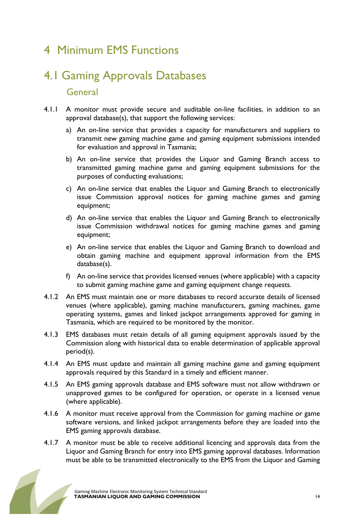### 4 Minimum EMS Functions

# 4.1 Gaming Approvals Databases General

- 4.1.1 A monitor must provide secure and auditable on-line facilities, in addition to an approval database(s), that support the following services:
	- a) An on-line service that provides a capacity for manufacturers and suppliers to transmit new gaming machine game and gaming equipment submissions intended for evaluation and approval in Tasmania;
	- b) An on-line service that provides the Liquor and Gaming Branch access to transmitted gaming machine game and gaming equipment submissions for the purposes of conducting evaluations;
	- c) An on-line service that enables the Liquor and Gaming Branch to electronically issue Commission approval notices for gaming machine games and gaming equipment;
	- d) An on-line service that enables the Liquor and Gaming Branch to electronically issue Commission withdrawal notices for gaming machine games and gaming equipment;
	- e) An on-line service that enables the Liquor and Gaming Branch to download and obtain gaming machine and equipment approval information from the EMS database(s).
	- f) An on-line service that provides licensed venues (where applicable) with a capacity to submit gaming machine game and gaming equipment change requests.
- 4.1.2 An EMS must maintain one or more databases to record accurate details of licensed venues (where applicable), gaming machine manufacturers, gaming machines, game operating systems, games and linked jackpot arrangements approved for gaming in Tasmania, which are required to be monitored by the monitor.
- 4.1.3 EMS databases must retain details of all gaming equipment approvals issued by the Commission along with historical data to enable determination of applicable approval period(s).
- 4.1.4 An EMS must update and maintain all gaming machine game and gaming equipment approvals required by this Standard in a timely and efficient manner.
- 4.1.5 An EMS gaming approvals database and EMS software must not allow withdrawn or unapproved games to be configured for operation, or operate in a licensed venue (where applicable).
- 4.1.6 A monitor must receive approval from the Commission for gaming machine or game software versions, and linked jackpot arrangements before they are loaded into the EMS gaming approvals database.
- 4.1.7 A monitor must be able to receive additional licencing and approvals data from the Liquor and Gaming Branch for entry into EMS gaming approval databases. Information must be able to be transmitted electronically to the EMS from the Liquor and Gaming

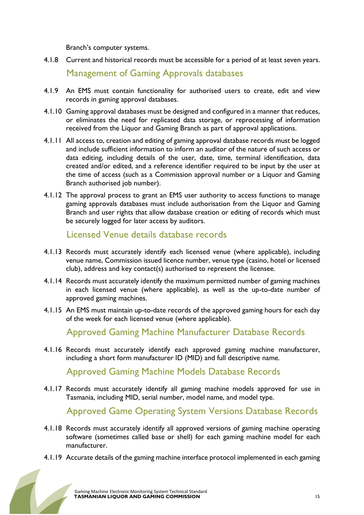Branch's computer systems.

4.1.8 Current and historical records must be accessible for a period of at least seven years.

Management of Gaming Approvals databases

- 4.1.9 An EMS must contain functionality for authorised users to create, edit and view records in gaming approval databases.
- 4.1.10 Gaming approval databases must be designed and configured in a manner that reduces, or eliminates the need for replicated data storage, or reprocessing of information received from the Liquor and Gaming Branch as part of approval applications.
- 4.1.11 All access to, creation and editing of gaming approval database records must be logged and include sufficient information to inform an auditor of the nature of such access or data editing, including details of the user, date, time, terminal identification, data created and/or edited, and a reference identifier required to be input by the user at the time of access (such as a Commission approval number or a Liquor and Gaming Branch authorised job number).
- 4.1.12 The approval process to grant an EMS user authority to access functions to manage gaming approvals databases must include authorisation from the Liquor and Gaming Branch and user rights that allow database creation or editing of records which must be securely logged for later access by auditors.

Licensed Venue details database records

- 4.1.13 Records must accurately identify each licensed venue (where applicable), including venue name, Commission issued licence number, venue type (casino, hotel or licensed club), address and key contact(s) authorised to represent the licensee.
- 4.1.14 Records must accurately identify the maximum permitted number of gaming machines in each licensed venue (where applicable), as well as the up-to-date number of approved gaming machines.
- 4.1.15 An EMS must maintain up-to-date records of the approved gaming hours for each day of the week for each licensed venue (where applicable).

Approved Gaming Machine Manufacturer Database Records

4.1.16 Records must accurately identify each approved gaming machine manufacturer, including a short form manufacturer ID (MID) and full descriptive name.

Approved Gaming Machine Models Database Records

4.1.17 Records must accurately identify all gaming machine models approved for use in Tasmania, including MID, serial number, model name, and model type.

Approved Game Operating System Versions Database Records

- 4.1.18 Records must accurately identify all approved versions of gaming machine operating software (sometimes called base or shell) for each gaming machine model for each manufacturer.
- 4.1.19 Accurate details of the gaming machine interface protocol implemented in each gaming

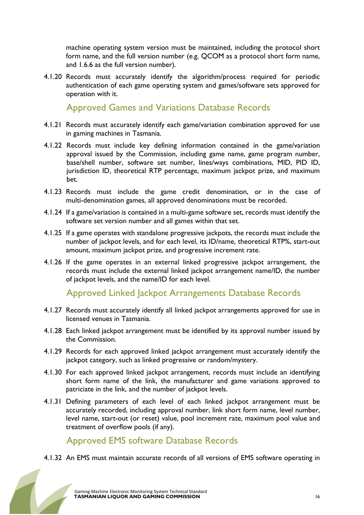machine operating system version must be maintained, including the protocol short form name, and the full version number (e.g. QCOM as a protocol short form name, and 1.6.6 as the full version number).

4.1.20 Records must accurately identify the algorithm/process required for periodic authentication of each game operating system and games/software sets approved for operation with it.

Approved Games and Variations Database Records

- 4.1.21 Records must accurately identify each game/variation combination approved for use in gaming machines in Tasmania.
- 4.1.22 Records must include key defining information contained in the game/variation approval issued by the Commission, including game name, game program number, base/shell number, software set number, lines/ways combinations, MID, PID ID, jurisdiction ID, theoretical RTP percentage, maximum jackpot prize, and maximum bet.
- 4.1.23 Records must include the game credit denomination, or in the case of multi-denomination games, all approved denominations must be recorded.
- 4.1.24 If a game/variation is contained in a multi-game software set, records must identify the software set version number and all games within that set.
- 4.1.25 If a game operates with standalone progressive jackpots, the records must include the number of jackpot levels, and for each level, its ID/name, theoretical RTP%, start-out amount, maximum jackpot prize, and progressive increment rate.
- 4.1.26 If the game operates in an external linked progressive jackpot arrangement, the records must include the external linked jackpot arrangement name/ID, the number of jackpot levels, and the name/ID for each level.

#### Approved Linked Jackpot Arrangements Database Records

- 4.1.27 Records must accurately identify all linked jackpot arrangements approved for use in licensed venues in Tasmania.
- 4.1.28 Each linked jackpot arrangement must be identified by its approval number issued by the Commission.
- 4.1.29 Records for each approved linked jackpot arrangement must accurately identify the jackpot category, such as linked progressive or random/mystery.
- 4.1.30 For each approved linked jackpot arrangement, records must include an identifying short form name of the link, the manufacturer and game variations approved to patriciate in the link, and the number of jackpot levels.
- 4.1.31 Defining parameters of each level of each linked jackpot arrangement must be accurately recorded, including approval number, link short form name, level number, level name, start-out (or reset) value, pool increment rate, maximum pool value and treatment of overflow pools (if any).

#### Approved EMS software Database Records

4.1.32 An EMS must maintain accurate records of all versions of EMS software operating in

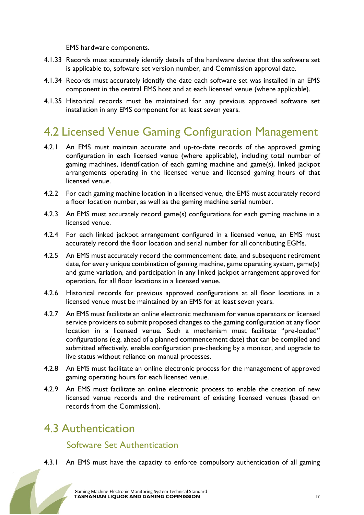EMS hardware components.

- 4.1.33 Records must accurately identify details of the hardware device that the software set is applicable to, software set version number, and Commission approval date.
- 4.1.34 Records must accurately identify the date each software set was installed in an EMS component in the central EMS host and at each licensed venue (where applicable).
- 4.1.35 Historical records must be maintained for any previous approved software set installation in any EMS component for at least seven years.

### 4.2 Licensed Venue Gaming Configuration Management

- 4.2.1 An EMS must maintain accurate and up-to-date records of the approved gaming configuration in each licensed venue (where applicable), including total number of gaming machines, identification of each gaming machine and game(s), linked jackpot arrangements operating in the licensed venue and licensed gaming hours of that licensed venue.
- 4.2.2 For each gaming machine location in a licensed venue, the EMS must accurately record a floor location number, as well as the gaming machine serial number.
- 4.2.3 An EMS must accurately record game(s) configurations for each gaming machine in a licensed venue.
- 4.2.4 For each linked jackpot arrangement configured in a licensed venue, an EMS must accurately record the floor location and serial number for all contributing EGMs.
- 4.2.5 An EMS must accurately record the commencement date, and subsequent retirement date, for every unique combination of gaming machine, game operating system, game(s) and game variation, and participation in any linked jackpot arrangement approved for operation, for all floor locations in a licensed venue.
- 4.2.6 Historical records for previous approved configurations at all floor locations in a licensed venue must be maintained by an EMS for at least seven years.
- 4.2.7 An EMS must facilitate an online electronic mechanism for venue operators or licensed service providers to submit proposed changes to the gaming configuration at any floor location in a licensed venue. Such a mechanism must facilitate "pre-loaded" configurations (e.g. ahead of a planned commencement date) that can be compiled and submitted effectively, enable configuration pre-checking by a monitor, and upgrade to live status without reliance on manual processes.
- 4.2.8 An EMS must facilitate an online electronic process for the management of approved gaming operating hours for each licensed venue.
- 4.2.9 An EMS must facilitate an online electronic process to enable the creation of new licensed venue records and the retirement of existing licensed venues (based on records from the Commission).

#### 4.3 Authentication

#### Software Set Authentication

4.3.1 An EMS must have the capacity to enforce compulsory authentication of all gaming

 Gaming Machine Electronic Monitoring System Technical Standard TASMANIAN LIQUOR AND GAMING COMMISSION 17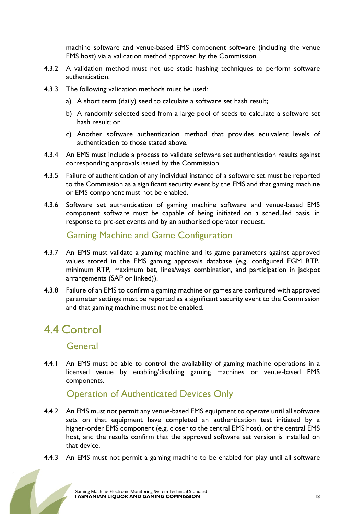machine software and venue-based EMS component software (including the venue EMS host) via a validation method approved by the Commission.

- 4.3.2 A validation method must not use static hashing techniques to perform software authentication.
- 4.3.3 The following validation methods must be used:
	- a) A short term (daily) seed to calculate a software set hash result;
	- b) A randomly selected seed from a large pool of seeds to calculate a software set hash result; or
	- c) Another software authentication method that provides equivalent levels of authentication to those stated above.
- 4.3.4 An EMS must include a process to validate software set authentication results against corresponding approvals issued by the Commission.
- 4.3.5 Failure of authentication of any individual instance of a software set must be reported to the Commission as a significant security event by the EMS and that gaming machine or EMS component must not be enabled.
- 4.3.6 Software set authentication of gaming machine software and venue-based EMS component software must be capable of being initiated on a scheduled basis, in response to pre-set events and by an authorised operator request.

Gaming Machine and Game Configuration

- 4.3.7 An EMS must validate a gaming machine and its game parameters against approved values stored in the EMS gaming approvals database (e.g. configured EGM RTP, minimum RTP, maximum bet, lines/ways combination, and participation in jackpot arrangements (SAP or linked)).
- 4.3.8 Failure of an EMS to confirm a gaming machine or games are configured with approved parameter settings must be reported as a significant security event to the Commission and that gaming machine must not be enabled.

### 4.4 Control

#### **General**

4.4.1 An EMS must be able to control the availability of gaming machine operations in a licensed venue by enabling/disabling gaming machines or venue-based EMS components.

#### Operation of Authenticated Devices Only

- 4.4.2 An EMS must not permit any venue-based EMS equipment to operate until all software sets on that equipment have completed an authentication test initiated by a higher-order EMS component (e.g. closer to the central EMS host), or the central EMS host, and the results confirm that the approved software set version is installed on that device.
- 4.4.3 An EMS must not permit a gaming machine to be enabled for play until all software

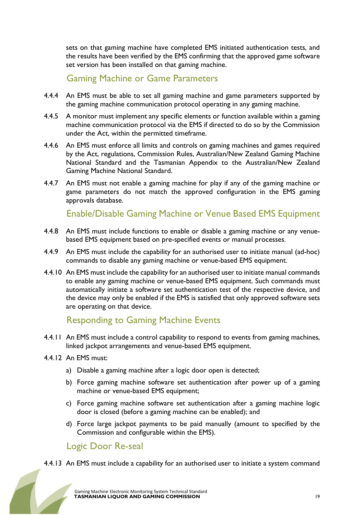sets on that gaming machine have completed EMS initiated authentication tests, and the results have been verified by the EMS confirming that the approved game software set version has been installed on that gaming machine.

#### Gaming Machine or Game Parameters

- 4.4.4 An EMS must be able to set all gaming machine and game parameters supported by the gaming machine communication protocol operating in any gaming machine.
- 4.4.5 A monitor must implement any specific elements or function available within a gaming machine communication protocol via the EMS if directed to do so by the Commission under the Act, within the permitted timeframe.
- 4.4.6 An EMS must enforce all limits and controls on gaming machines and games required by the Act, regulations, Commission Rules, Australian/New Zealand Gaming Machine National Standard and the Tasmanian Appendix to the Australian/New Zealand Gaming Machine National Standard.
- 4.4.7 An EMS must not enable a gaming machine for play if any of the gaming machine or game parameters do not match the approved configuration in the EMS gaming approvals database.

Enable/Disable Gaming Machine or Venue Based EMS Equipment

- 4.4.8 An EMS must include functions to enable or disable a gaming machine or any venuebased EMS equipment based on pre-specified events or manual processes.
- 4.4.9 An EMS must include the capability for an authorised user to initiate manual (ad-hoc) commands to disable any gaming machine or venue-based EMS equipment.
- 4.4.10 An EMS must include the capability for an authorised user to initiate manual commands to enable any gaming machine or venue-based EMS equipment. Such commands must automatically initiate a software set authentication test of the respective device, and the device may only be enabled if the EMS is satisfied that only approved software sets are operating on that device.

#### Responding to Gaming Machine Events

- 4.4.11 An EMS must include a control capability to respond to events from gaming machines, linked jackpot arrangements and venue-based EMS equipment.
- 4.4.12 An EMS must:
	- a) Disable a gaming machine after a logic door open is detected;
	- b) Force gaming machine software set authentication after power up of a gaming machine or venue-based EMS equipment;
	- c) Force gaming machine software set authentication after a gaming machine logic door is closed (before a gaming machine can be enabled); and
	- d) Force large jackpot payments to be paid manually (amount to specified by the Commission and configurable within the EMS).

#### Logic Door Re-seal

4.4.13 An EMS must include a capability for an authorised user to initiate a system command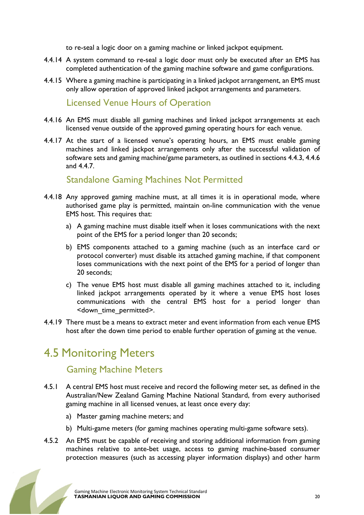to re-seal a logic door on a gaming machine or linked jackpot equipment.

- 4.4.14 A system command to re-seal a logic door must only be executed after an EMS has completed authentication of the gaming machine software and game configurations.
- 4.4.15 Where a gaming machine is participating in a linked jackpot arrangement, an EMS must only allow operation of approved linked jackpot arrangements and parameters.

#### Licensed Venue Hours of Operation

- 4.4.16 An EMS must disable all gaming machines and linked jackpot arrangements at each licensed venue outside of the approved gaming operating hours for each venue.
- 4.4.17 At the start of a licensed venue's operating hours, an EMS must enable gaming machines and linked jackpot arrangements only after the successful validation of software sets and gaming machine/game parameters, as outlined in sections 4.4.3, 4.4.6 and 4.4.7.

#### Standalone Gaming Machines Not Permitted

- 4.4.18 Any approved gaming machine must, at all times it is in operational mode, where authorised game play is permitted, maintain on-line communication with the venue EMS host. This requires that:
	- a) A gaming machine must disable itself when it loses communications with the next point of the EMS for a period longer than 20 seconds;
	- b) EMS components attached to a gaming machine (such as an interface card or protocol converter) must disable its attached gaming machine, if that component loses communications with the next point of the EMS for a period of longer than 20 seconds;
	- c) The venue EMS host must disable all gaming machines attached to it, including linked jackpot arrangements operated by it where a venue EMS host loses communications with the central EMS host for a period longer than <down\_time\_permitted>.
- 4.4.19 There must be a means to extract meter and event information from each venue EMS host after the down time period to enable further operation of gaming at the venue.

### 4.5 Monitoring Meters

#### Gaming Machine Meters

- 4.5.1 A central EMS host must receive and record the following meter set, as defined in the Australian/New Zealand Gaming Machine National Standard, from every authorised gaming machine in all licensed venues, at least once every day:
	- a) Master gaming machine meters; and
	- b) Multi-game meters (for gaming machines operating multi-game software sets).
- 4.5.2 An EMS must be capable of receiving and storing additional information from gaming machines relative to ante-bet usage, access to gaming machine-based consumer protection measures (such as accessing player information displays) and other harm

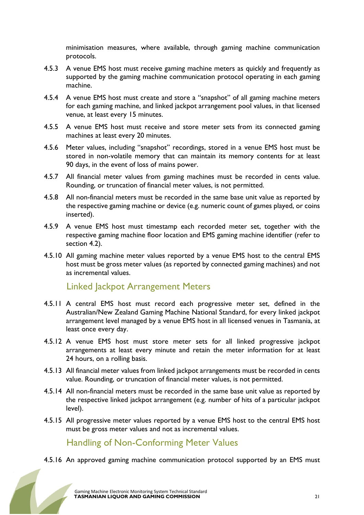minimisation measures, where available, through gaming machine communication protocols.

- 4.5.3 A venue EMS host must receive gaming machine meters as quickly and frequently as supported by the gaming machine communication protocol operating in each gaming machine.
- 4.5.4 A venue EMS host must create and store a "snapshot" of all gaming machine meters for each gaming machine, and linked jackpot arrangement pool values, in that licensed venue, at least every 15 minutes.
- 4.5.5 A venue EMS host must receive and store meter sets from its connected gaming machines at least every 20 minutes.
- 4.5.6 Meter values, including "snapshot" recordings, stored in a venue EMS host must be stored in non-volatile memory that can maintain its memory contents for at least 90 days, in the event of loss of mains power.
- 4.5.7 All financial meter values from gaming machines must be recorded in cents value. Rounding, or truncation of financial meter values, is not permitted.
- 4.5.8 All non-financial meters must be recorded in the same base unit value as reported by the respective gaming machine or device (e.g. numeric count of games played, or coins inserted).
- 4.5.9 A venue EMS host must timestamp each recorded meter set, together with the respective gaming machine floor location and EMS gaming machine identifier (refer to section 4.2).
- 4.5.10 All gaming machine meter values reported by a venue EMS host to the central EMS host must be gross meter values (as reported by connected gaming machines) and not as incremental values.

#### Linked Jackpot Arrangement Meters

- 4.5.11 A central EMS host must record each progressive meter set, defined in the Australian/New Zealand Gaming Machine National Standard, for every linked jackpot arrangement level managed by a venue EMS host in all licensed venues in Tasmania, at least once every day.
- 4.5.12 A venue EMS host must store meter sets for all linked progressive jackpot arrangements at least every minute and retain the meter information for at least 24 hours, on a rolling basis.
- 4.5.13 All financial meter values from linked jackpot arrangements must be recorded in cents value. Rounding, or truncation of financial meter values, is not permitted.
- 4.5.14 All non-financial meters must be recorded in the same base unit value as reported by the respective linked jackpot arrangement (e.g. number of hits of a particular jackpot level).
- 4.5.15 All progressive meter values reported by a venue EMS host to the central EMS host must be gross meter values and not as incremental values.

Handling of Non-Conforming Meter Values

4.5.16 An approved gaming machine communication protocol supported by an EMS must

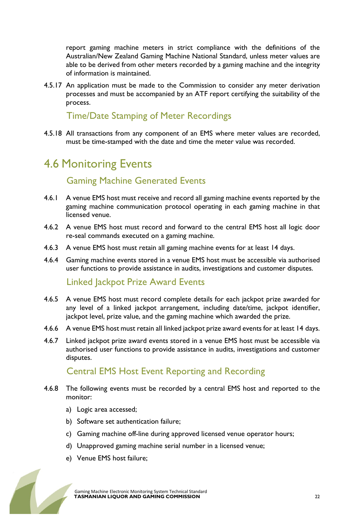report gaming machine meters in strict compliance with the definitions of the Australian/New Zealand Gaming Machine National Standard, unless meter values are able to be derived from other meters recorded by a gaming machine and the integrity of information is maintained.

4.5.17 An application must be made to the Commission to consider any meter derivation processes and must be accompanied by an ATF report certifying the suitability of the process.

#### Time/Date Stamping of Meter Recordings

4.5.18 All transactions from any component of an EMS where meter values are recorded, must be time-stamped with the date and time the meter value was recorded.

#### 4.6 Monitoring Events

#### Gaming Machine Generated Events

- 4.6.1 A venue EMS host must receive and record all gaming machine events reported by the gaming machine communication protocol operating in each gaming machine in that licensed venue.
- 4.6.2 A venue EMS host must record and forward to the central EMS host all logic door re-seal commands executed on a gaming machine.
- 4.6.3 A venue EMS host must retain all gaming machine events for at least 14 days.
- 4.6.4 Gaming machine events stored in a venue EMS host must be accessible via authorised user functions to provide assistance in audits, investigations and customer disputes.

#### Linked Jackpot Prize Award Events

- 4.6.5 A venue EMS host must record complete details for each jackpot prize awarded for any level of a linked jackpot arrangement, including date/time, jackpot identifier, jackpot level, prize value, and the gaming machine which awarded the prize.
- 4.6.6 A venue EMS host must retain all linked jackpot prize award events for at least 14 days.
- 4.6.7 Linked jackpot prize award events stored in a venue EMS host must be accessible via authorised user functions to provide assistance in audits, investigations and customer disputes.

#### Central EMS Host Event Reporting and Recording

- 4.6.8 The following events must be recorded by a central EMS host and reported to the monitor:
	- a) Logic area accessed;
	- b) Software set authentication failure;
	- c) Gaming machine off-line during approved licensed venue operator hours;
	- d) Unapproved gaming machine serial number in a licensed venue;
	- e) Venue EMS host failure;

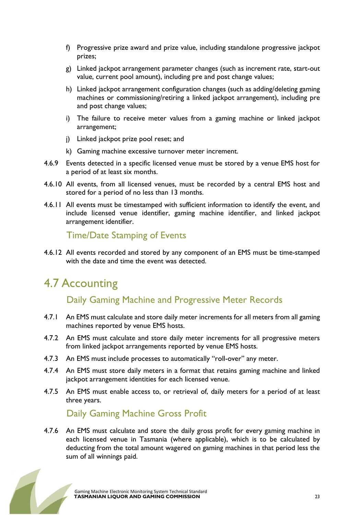- f) Progressive prize award and prize value, including standalone progressive jackpot prizes;
- g) Linked jackpot arrangement parameter changes (such as increment rate, start-out value, current pool amount), including pre and post change values;
- h) Linked jackpot arrangement configuration changes (such as adding/deleting gaming machines or commissioning/retiring a linked jackpot arrangement), including pre and post change values;
- i) The failure to receive meter values from a gaming machine or linked jackpot arrangement;
- j) Linked jackpot prize pool reset; and
- k) Gaming machine excessive turnover meter increment.
- 4.6.9 Events detected in a specific licensed venue must be stored by a venue EMS host for a period of at least six months.
- 4.6.10 All events, from all licensed venues, must be recorded by a central EMS host and stored for a period of no less than 13 months.
- 4.6.11 All events must be timestamped with sufficient information to identify the event, and include licensed venue identifier, gaming machine identifier, and linked jackpot arrangement identifier.

Time/Date Stamping of Events

4.6.12 All events recorded and stored by any component of an EMS must be time-stamped with the date and time the event was detected.

# 4.7 Accounting

Daily Gaming Machine and Progressive Meter Records

- 4.7.1 An EMS must calculate and store daily meter increments for all meters from all gaming machines reported by venue EMS hosts.
- 4.7.2 An EMS must calculate and store daily meter increments for all progressive meters from linked jackpot arrangements reported by venue EMS hosts.
- 4.7.3 An EMS must include processes to automatically "roll-over" any meter.
- 4.7.4 An EMS must store daily meters in a format that retains gaming machine and linked jackpot arrangement identities for each licensed venue.
- 4.7.5 An EMS must enable access to, or retrieval of, daily meters for a period of at least three years.

#### Daily Gaming Machine Gross Profit

4.7.6 An EMS must calculate and store the daily gross profit for every gaming machine in each licensed venue in Tasmania (where applicable), which is to be calculated by deducting from the total amount wagered on gaming machines in that period less the sum of all winnings paid.

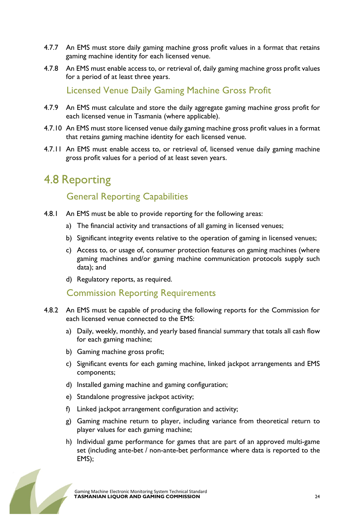- 4.7.7 An EMS must store daily gaming machine gross profit values in a format that retains gaming machine identity for each licensed venue.
- 4.7.8 An EMS must enable access to, or retrieval of, daily gaming machine gross profit values for a period of at least three years.

Licensed Venue Daily Gaming Machine Gross Profit

- 4.7.9 An EMS must calculate and store the daily aggregate gaming machine gross profit for each licensed venue in Tasmania (where applicable).
- 4.7.10 An EMS must store licensed venue daily gaming machine gross profit values in a format that retains gaming machine identity for each licensed venue.
- 4.7.11 An EMS must enable access to, or retrieval of, licensed venue daily gaming machine gross profit values for a period of at least seven years.

### 4.8 Reporting

#### General Reporting Capabilities

- 4.8.1 An EMS must be able to provide reporting for the following areas:
	- a) The financial activity and transactions of all gaming in licensed venues;
	- b) Significant integrity events relative to the operation of gaming in licensed venues;
	- c) Access to, or usage of, consumer protection features on gaming machines (where gaming machines and/or gaming machine communication protocols supply such data); and
	- d) Regulatory reports, as required.

#### Commission Reporting Requirements

- 4.8.2 An EMS must be capable of producing the following reports for the Commission for each licensed venue connected to the EMS:
	- a) Daily, weekly, monthly, and yearly based financial summary that totals all cash flow for each gaming machine;
	- b) Gaming machine gross profit;
	- c) Significant events for each gaming machine, linked jackpot arrangements and EMS components;
	- d) Installed gaming machine and gaming configuration;
	- e) Standalone progressive jackpot activity;
	- f) Linked jackpot arrangement configuration and activity;
	- g) Gaming machine return to player, including variance from theoretical return to player values for each gaming machine;
	- h) Individual game performance for games that are part of an approved multi-game set (including ante-bet / non-ante-bet performance where data is reported to the EMS);

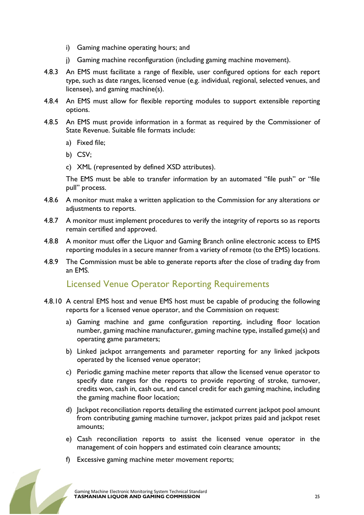- i) Gaming machine operating hours; and
- j) Gaming machine reconfiguration (including gaming machine movement).
- 4.8.3 An EMS must facilitate a range of flexible, user configured options for each report type, such as date ranges, licensed venue (e.g. individual, regional, selected venues, and licensee), and gaming machine(s).
- 4.8.4 An EMS must allow for flexible reporting modules to support extensible reporting options.
- 4.8.5 An EMS must provide information in a format as required by the Commissioner of State Revenue. Suitable file formats include:
	- a) Fixed file;
	- b) CSV;
	- c) XML (represented by defined XSD attributes).

The EMS must be able to transfer information by an automated "file push" or "file pull" process.

- 4.8.6 A monitor must make a written application to the Commission for any alterations or adjustments to reports.
- 4.8.7 A monitor must implement procedures to verify the integrity of reports so as reports remain certified and approved.
- 4.8.8 A monitor must offer the Liquor and Gaming Branch online electronic access to EMS reporting modules in a secure manner from a variety of remote (to the EMS) locations.
- 4.8.9 The Commission must be able to generate reports after the close of trading day from an EMS.

#### Licensed Venue Operator Reporting Requirements

- 4.8.10 A central EMS host and venue EMS host must be capable of producing the following reports for a licensed venue operator, and the Commission on request:
	- a) Gaming machine and game configuration reporting, including floor location number, gaming machine manufacturer, gaming machine type, installed game(s) and operating game parameters;
	- b) Linked jackpot arrangements and parameter reporting for any linked jackpots operated by the licensed venue operator;
	- c) Periodic gaming machine meter reports that allow the licensed venue operator to specify date ranges for the reports to provide reporting of stroke, turnover, credits won, cash in, cash out, and cancel credit for each gaming machine, including the gaming machine floor location;
	- d) Jackpot reconciliation reports detailing the estimated current jackpot pool amount from contributing gaming machine turnover, jackpot prizes paid and jackpot reset amounts;
	- e) Cash reconciliation reports to assist the licensed venue operator in the management of coin hoppers and estimated coin clearance amounts;
	- f) Excessive gaming machine meter movement reports;

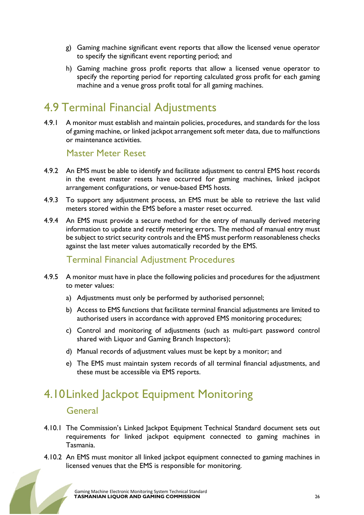- g) Gaming machine significant event reports that allow the licensed venue operator to specify the significant event reporting period; and
- h) Gaming machine gross profit reports that allow a licensed venue operator to specify the reporting period for reporting calculated gross profit for each gaming machine and a venue gross profit total for all gaming machines.

### 4.9 Terminal Financial Adjustments

4.9.1 A monitor must establish and maintain policies, procedures, and standards for the loss of gaming machine, or linked jackpot arrangement soft meter data, due to malfunctions or maintenance activities.

#### Master Meter Reset

- 4.9.2 An EMS must be able to identify and facilitate adjustment to central EMS host records in the event master resets have occurred for gaming machines, linked jackpot arrangement configurations, or venue-based EMS hosts.
- 4.9.3 To support any adjustment process, an EMS must be able to retrieve the last valid meters stored within the EMS before a master reset occurred.
- 4.9.4 An EMS must provide a secure method for the entry of manually derived metering information to update and rectify metering errors. The method of manual entry must be subject to strict security controls and the EMS must perform reasonableness checks against the last meter values automatically recorded by the EMS.

#### Terminal Financial Adjustment Procedures

- 4.9.5 A monitor must have in place the following policies and procedures for the adjustment to meter values:
	- a) Adjustments must only be performed by authorised personnel;
	- b) Access to EMS functions that facilitate terminal financial adjustments are limited to authorised users in accordance with approved EMS monitoring procedures;
	- c) Control and monitoring of adjustments (such as multi-part password control shared with Liquor and Gaming Branch Inspectors);
	- d) Manual records of adjustment values must be kept by a monitor; and
	- e) The EMS must maintain system records of all terminal financial adjustments, and these must be accessible via EMS reports.

### 4.10Linked Jackpot Equipment Monitoring

#### General

- 4.10.1 The Commission's Linked Jackpot Equipment Technical Standard document sets out requirements for linked jackpot equipment connected to gaming machines in Tasmania.
- 4.10.2 An EMS must monitor all linked jackpot equipment connected to gaming machines in licensed venues that the EMS is responsible for monitoring.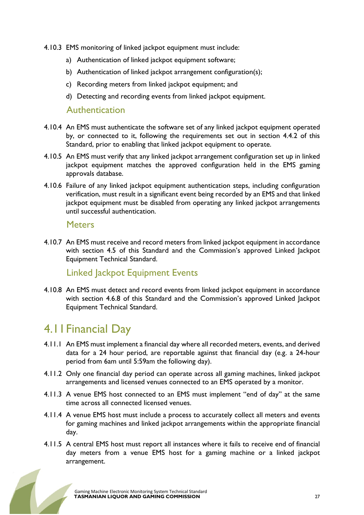- 4.10.3 EMS monitoring of linked jackpot equipment must include:
	- a) Authentication of linked jackpot equipment software;
	- b) Authentication of linked jackpot arrangement configuration(s);
	- c) Recording meters from linked jackpot equipment; and
	- d) Detecting and recording events from linked jackpot equipment.

#### Authentication

- 4.10.4 An EMS must authenticate the software set of any linked jackpot equipment operated by, or connected to it, following the requirements set out in section 4.4.2 of this Standard, prior to enabling that linked jackpot equipment to operate.
- 4.10.5 An EMS must verify that any linked jackpot arrangement configuration set up in linked jackpot equipment matches the approved configuration held in the EMS gaming approvals database.
- 4.10.6 Failure of any linked jackpot equipment authentication steps, including configuration verification, must result in a significant event being recorded by an EMS and that linked jackpot equipment must be disabled from operating any linked jackpot arrangements until successful authentication.

#### **Meters**

4.10.7 An EMS must receive and record meters from linked jackpot equipment in accordance with section 4.5 of this Standard and the Commission's approved Linked Jackpot Equipment Technical Standard.

#### Linked Jackpot Equipment Events

4.10.8 An EMS must detect and record events from linked jackpot equipment in accordance with section 4.6.8 of this Standard and the Commission's approved Linked Jackpot Equipment Technical Standard.

#### 4.11Financial Day

- 4.11.1 An EMS must implement a financial day where all recorded meters, events, and derived data for a 24 hour period, are reportable against that financial day (e.g. a 24-hour period from 6am until 5:59am the following day).
- 4.11.2 Only one financial day period can operate across all gaming machines, linked jackpot arrangements and licensed venues connected to an EMS operated by a monitor.
- 4.11.3 A venue EMS host connected to an EMS must implement "end of day" at the same time across all connected licensed venues.
- 4.11.4 A venue EMS host must include a process to accurately collect all meters and events for gaming machines and linked jackpot arrangements within the appropriate financial day.
- 4.11.5 A central EMS host must report all instances where it fails to receive end of financial day meters from a venue EMS host for a gaming machine or a linked jackpot arrangement.

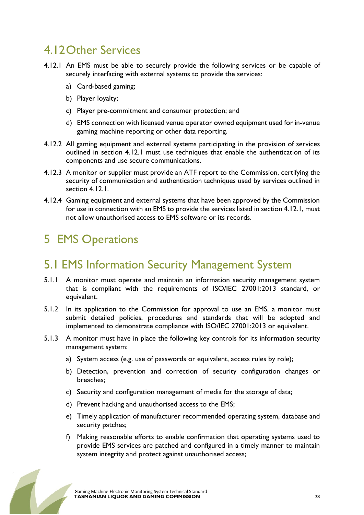### 4.12Other Services

- 4.12.1 An EMS must be able to securely provide the following services or be capable of securely interfacing with external systems to provide the services:
	- a) Card-based gaming;
	- b) Player loyalty;
	- c) Player pre-commitment and consumer protection; and
	- d) EMS connection with licensed venue operator owned equipment used for in-venue gaming machine reporting or other data reporting.
- 4.12.2 All gaming equipment and external systems participating in the provision of services outlined in section 4.12.1 must use techniques that enable the authentication of its components and use secure communications.
- 4.12.3 A monitor or supplier must provide an ATF report to the Commission, certifying the security of communication and authentication techniques used by services outlined in section 4.12.1.
- 4.12.4 Gaming equipment and external systems that have been approved by the Commission for use in connection with an EMS to provide the services listed in section 4.12.1, must not allow unauthorised access to EMS software or its records.

# 5 EMS Operations

# 5.1 EMS Information Security Management System

- 5.1.1 A monitor must operate and maintain an information security management system that is compliant with the requirements of ISO/IEC 27001:2013 standard, or equivalent.
- 5.1.2 In its application to the Commission for approval to use an EMS, a monitor must submit detailed policies, procedures and standards that will be adopted and implemented to demonstrate compliance with ISO/IEC 27001:2013 or equivalent.
- 5.1.3 A monitor must have in place the following key controls for its information security management system:
	- a) System access (e.g. use of passwords or equivalent, access rules by role);
	- b) Detection, prevention and correction of security configuration changes or breaches;
	- c) Security and configuration management of media for the storage of data;
	- d) Prevent hacking and unauthorised access to the EMS;
	- e) Timely application of manufacturer recommended operating system, database and security patches;
	- f) Making reasonable efforts to enable confirmation that operating systems used to provide EMS services are patched and configured in a timely manner to maintain system integrity and protect against unauthorised access;

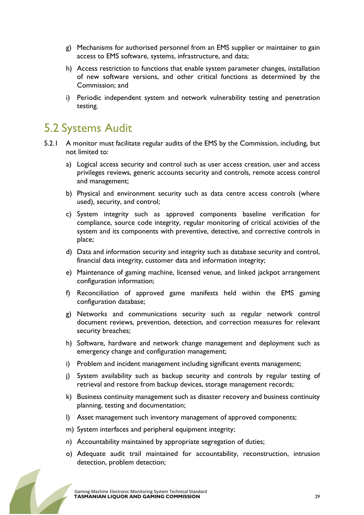- g) Mechanisms for authorised personnel from an EMS supplier or maintainer to gain access to EMS software, systems, infrastructure, and data;
- h) Access restriction to functions that enable system parameter changes, installation of new software versions, and other critical functions as determined by the Commission; and
- i) Periodic independent system and network vulnerability testing and penetration testing.

### 5.2 Systems Audit

- 5.2.1 A monitor must facilitate regular audits of the EMS by the Commission, including, but not limited to:
	- a) Logical access security and control such as user access creation, user and access privileges reviews, generic accounts security and controls, remote access control and management;
	- b) Physical and environment security such as data centre access controls (where used), security, and control;
	- c) System integrity such as approved components baseline verification for compliance, source code integrity, regular monitoring of critical activities of the system and its components with preventive, detective, and corrective controls in place;
	- d) Data and information security and integrity such as database security and control, financial data integrity, customer data and information integrity;
	- e) Maintenance of gaming machine, licensed venue, and linked jackpot arrangement configuration information;
	- f) Reconciliation of approved game manifests held within the EMS gaming configuration database;
	- g) Networks and communications security such as regular network control document reviews, prevention, detection, and correction measures for relevant security breaches;
	- h) Software, hardware and network change management and deployment such as emergency change and configuration management;
	- i) Problem and incident management including significant events management;
	- j) System availability such as backup security and controls by regular testing of retrieval and restore from backup devices, storage management records;
	- k) Business continuity management such as disaster recovery and business continuity planning, testing and documentation;
	- l) Asset management such inventory management of approved components;
	- m) System interfaces and peripheral equipment integrity;
	- n) Accountability maintained by appropriate segregation of duties;
	- o) Adequate audit trail maintained for accountability, reconstruction, intrusion detection, problem detection;

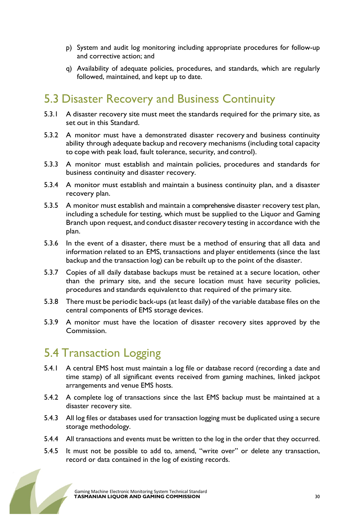- p) System and audit log monitoring including appropriate procedures for follow-up and corrective action; and
- q) Availability of adequate policies, procedures, and standards, which are regularly followed, maintained, and kept up to date.

### 5.3 Disaster Recovery and Business Continuity

- 5.3.1 A disaster recovery site must meet the standards required for the primary site, as set out in this Standard.
- 5.3.2 A monitor must have a demonstrated disaster recovery and business continuity ability through adequate backup and recovery mechanisms (including total capacity to cope with peak load, fault tolerance, security, and control).
- 5.3.3 A monitor must establish and maintain policies, procedures and standards for business continuity and disaster recovery.
- 5.3.4 A monitor must establish and maintain a business continuity plan, and a disaster recovery plan.
- 5.3.5 A monitor must establish and maintain a comprehensive disaster recovery test plan, including a schedule for testing, which must be supplied to the Liquor and Gaming Branch upon request, and conduct disaster recovery testing in accordance with the plan.
- 5.3.6 In the event of a disaster, there must be a method of ensuring that all data and information related to an EMS, transactions and player entitlements (since the last backup and the transaction log) can be rebuilt up to the point of the disaster.
- 5.3.7 Copies of all daily database backups must be retained at a secure location, other than the primary site, and the secure location must have security policies, procedures and standards equivalent to that required of the primary site.
- 5.3.8 There must be periodic back-ups (at least daily) of the variable database files on the central components of EMS storage devices.
- 5.3.9 A monitor must have the location of disaster recovery sites approved by the Commission.

### 5.4 Transaction Logging

- 5.4.1 A central EMS host must maintain a log file or database record (recording a date and time stamp) of all significant events received from gaming machines, linked jackpot arrangements and venue EMS hosts.
- 5.4.2 A complete log of transactions since the last EMS backup must be maintained at a disaster recovery site.
- 5.4.3 All log files or databases used for transaction logging must be duplicated using a secure storage methodology.
- 5.4.4 All transactions and events must be written to the log in the order that they occurred.
- 5.4.5 It must not be possible to add to, amend, "write over" or delete any transaction, record or data contained in the log of existing records.

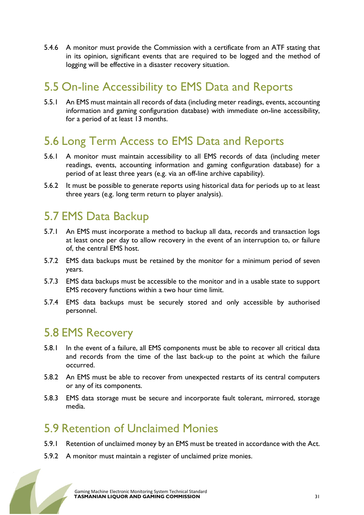5.4.6 A monitor must provide the Commission with a certificate from an ATF stating that in its opinion, significant events that are required to be logged and the method of logging will be effective in a disaster recovery situation.

### 5.5 On-line Accessibility to EMS Data and Reports

5.5.1 An EMS must maintain all records of data (including meter readings, events, accounting information and gaming configuration database) with immediate on-line accessibility, for a period of at least 13 months.

### 5.6 Long Term Access to EMS Data and Reports

- 5.6.1 A monitor must maintain accessibility to all EMS records of data (including meter readings, events, accounting information and gaming configuration database) for a period of at least three years (e.g. via an off-line archive capability).
- 5.6.2 It must be possible to generate reports using historical data for periods up to at least three years (e.g. long term return to player analysis).

### 5.7 EMS Data Backup

- 5.7.1 An EMS must incorporate a method to backup all data, records and transaction logs at least once per day to allow recovery in the event of an interruption to, or failure of, the central EMS host.
- 5.7.2 EMS data backups must be retained by the monitor for a minimum period of seven years.
- 5.7.3 EMS data backups must be accessible to the monitor and in a usable state to support EMS recovery functions within a two hour time limit.
- 5.7.4 EMS data backups must be securely stored and only accessible by authorised personnel.

### 5.8 EMS Recovery

- 5.8.1 In the event of a failure, all EMS components must be able to recover all critical data and records from the time of the last back-up to the point at which the failure occurred.
- 5.8.2 An EMS must be able to recover from unexpected restarts of its central computers or any of its components.
- 5.8.3 EMS data storage must be secure and incorporate fault tolerant, mirrored, storage media.

### 5.9 Retention of Unclaimed Monies

- 5.9.1 Retention of unclaimed money by an EMS must be treated in accordance with the Act.
- 5.9.2 A monitor must maintain a register of unclaimed prize monies.

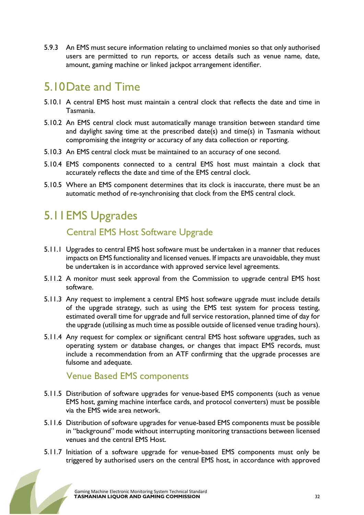5.9.3 An EMS must secure information relating to unclaimed monies so that only authorised users are permitted to run reports, or access details such as venue name, date, amount, gaming machine or linked jackpot arrangement identifier.

### 5.10Date and Time

- 5.10.1 A central EMS host must maintain a central clock that reflects the date and time in Tasmania.
- 5.10.2 An EMS central clock must automatically manage transition between standard time and daylight saving time at the prescribed date(s) and time(s) in Tasmania without compromising the integrity or accuracy of any data collection or reporting.
- 5.10.3 An EMS central clock must be maintained to an accuracy of one second.
- 5.10.4 EMS components connected to a central EMS host must maintain a clock that accurately reflects the date and time of the EMS central clock.
- 5.10.5 Where an EMS component determines that its clock is inaccurate, there must be an automatic method of re-synchronising that clock from the EMS central clock.

# 5.11EMS Upgrades

#### Central EMS Host Software Upgrade

- 5.11.1 Upgrades to central EMS host software must be undertaken in a manner that reduces impacts on EMS functionality and licensed venues. If impacts are unavoidable, they must be undertaken is in accordance with approved service level agreements.
- 5.11.2 A monitor must seek approval from the Commission to upgrade central EMS host software.
- 5.11.3 Any request to implement a central EMS host software upgrade must include details of the upgrade strategy, such as using the EMS test system for process testing, estimated overall time for upgrade and full service restoration, planned time of day for the upgrade (utilising as much time as possible outside of licensed venue trading hours).
- 5.11.4 Any request for complex or significant central EMS host software upgrades, such as operating system or database changes, or changes that impact EMS records, must include a recommendation from an ATF confirming that the upgrade processes are fulsome and adequate.

#### Venue Based EMS components

- 5.11.5 Distribution of software upgrades for venue-based EMS components (such as venue EMS host, gaming machine interface cards, and protocol converters) must be possible via the EMS wide area network.
- 5.11.6 Distribution of software upgrades for venue-based EMS components must be possible in "background" mode without interrupting monitoring transactions between licensed venues and the central EMS Host.
- 5.11.7 Initiation of a software upgrade for venue-based EMS components must only be triggered by authorised users on the central EMS host, in accordance with approved

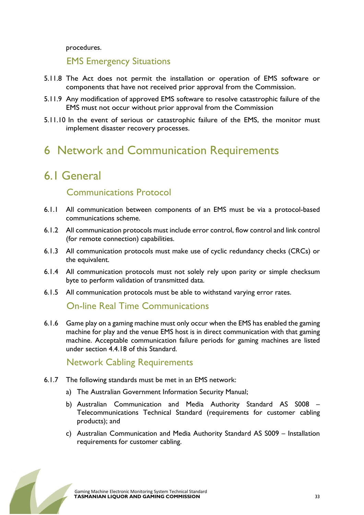procedures.

EMS Emergency Situations

- 5.11.8 The Act does not permit the installation or operation of EMS software or components that have not received prior approval from the Commission.
- 5.11.9 Any modification of approved EMS software to resolve catastrophic failure of the EMS must not occur without prior approval from the Commission
- 5.11.10 In the event of serious or catastrophic failure of the EMS, the monitor must implement disaster recovery processes.

### 6 Network and Communication Requirements

### 6.1 General

#### Communications Protocol

- 6.1.1 All communication between components of an EMS must be via a protocol-based communications scheme.
- 6.1.2 All communication protocols must include error control, flow control and link control (for remote connection) capabilities.
- 6.1.3 All communication protocols must make use of cyclic redundancy checks (CRCs) or the equivalent.
- 6.1.4 All communication protocols must not solely rely upon parity or simple checksum byte to perform validation of transmitted data.
- 6.1.5 All communication protocols must be able to withstand varying error rates.

#### On-line Real Time Communications

6.1.6 Game play on a gaming machine must only occur when the EMS has enabled the gaming machine for play and the venue EMS host is in direct communication with that gaming machine. Acceptable communication failure periods for gaming machines are listed under section 4.4.18 of this Standard.

Network Cabling Requirements

- 6.1.7 The following standards must be met in an EMS network:
	- a) The Australian Government Information Security Manual;
	- b) Australian Communication and Media Authority Standard AS S008 Telecommunications Technical Standard (requirements for customer cabling products); and
	- c) Australian Communication and Media Authority Standard AS S009 Installation requirements for customer cabling.

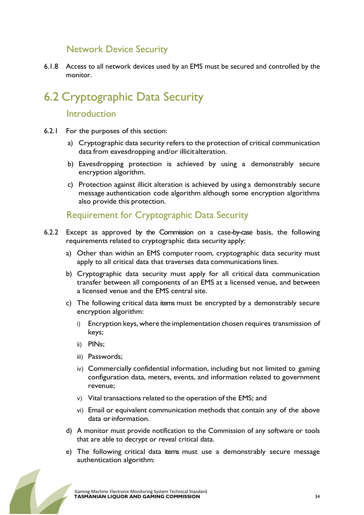#### Network Device Security

6.1.8 Access to all network devices used by an EMS must be secured and controlled by the monitor.

# 6.2 Cryptographic Data Security

#### Introduction

- 6.2.1 For the purposes of this section:
	- a) Cryptographic data security refers to the protection of critical communication data from eavesdropping and/or illicit alteration.
	- b) Eavesdropping protection is achieved by using a demonstrably secure encryption algorithm.
	- c) Protection against illicit alteration is achieved by using a demonstrably secure message authentication code algorithm although some encryption algorithms also provide this protection.

Requirement for Cryptographic Data Security

- 6.2.2 Except as approved by the Commission on a case-by-case basis, the following requirements related to cryptographic data security apply:
	- a) Other than within an EMS computer room, cryptographic data security must apply to all critical data that traverses data communications lines.
	- b) Cryptographic data security must apply for all critical data communication transfer between all components of an EMS at a licensed venue, and between a licensed venue and the EMS central site.
	- c) The following critical data items must be encrypted by a demonstrably secure encryption algorithm:
		- i) Encryption keys, where the implementation chosen requires transmission of keys;
		- ii) PINs;
		- iii) Passwords;
		- iv) Commercially confidential information, including but not limited to gaming configuration data, meters, events, and information related to government revenue;
		- v) Vital transactions related to the operation of the EMS; and
		- vi) Email or equivalent communication methods that contain any of the above data or information.
	- d) A monitor must provide notification to the Commission of any software or tools that are able to decrypt or reveal critical data.
	- e) The following critical data items must use a demonstrably secure message authentication algorithm:

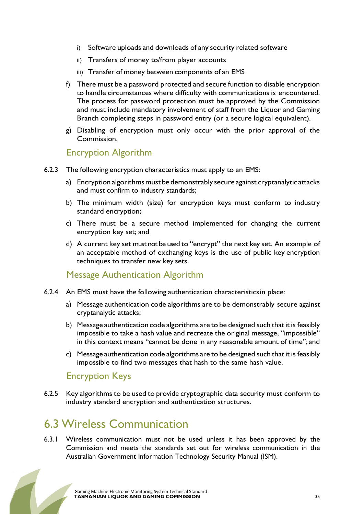- i) Software uploads and downloads of any security related software
- ii) Transfers of money to/from player accounts
- iii) Transfer of money between components of an EMS
- f) There must be a password protected and secure function to disable encryption to handle circumstances where difficulty with communications is encountered. The process for password protection must be approved by the Commission and must include mandatory involvement of staff from the Liquor and Gaming Branch completing steps in password entry (or a secure logical equivalent).
- g) Disabling of encryption must only occur with the prior approval of the Commission.

#### Encryption Algorithm

- 6.2.3 The following encryption characteristics must apply to an EMS:
	- a) Encryption algorithms must be demonstrably secure against cryptanalytic attacks and must confirm to industry standards;
	- b) The minimum width (size) for encryption keys must conform to industry standard encryption;
	- c) There must be a secure method implemented for changing the current encryption key set; and
	- d) A current key set must not be used to "encrypt" the next key set. An example of an acceptable method of exchanging keys is the use of public key encryption techniques to transfer new key sets.

#### Message Authentication Algorithm

- 6.2.4 An EMS must have the following authentication characteristics in place:
	- a) Message authentication code algorithms are to be demonstrably secure against cryptanalytic attacks;
	- b) Message authentication code algorithms are to be designed such that it is feasibly impossible to take a hash value and recreate the original message, "impossible" in this context means "cannot be done in any reasonable amount of time"; and
	- c) Message authentication code algorithms are to be designed such that it is feasibly impossible to find two messages that hash to the same hash value.

#### Encryption Keys

6.2.5 Key algorithms to be used to provide cryptographic data security must conform to industry standard encryption and authentication structures.

### 6.3 Wireless Communication

6.3.1 Wireless communication must not be used unless it has been approved by the Commission and meets the standards set out for wireless communication in the Australian Government Information Technology Security Manual (ISM).

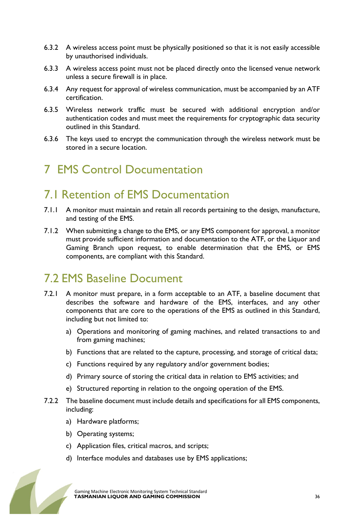- 6.3.2 A wireless access point must be physically positioned so that it is not easily accessible by unauthorised individuals.
- 6.3.3 A wireless access point must not be placed directly onto the licensed venue network unless a secure firewall is in place.
- 6.3.4 Any request for approval of wireless communication, must be accompanied by an ATF certification.
- 6.3.5 Wireless network traffic must be secured with additional encryption and/or authentication codes and must meet the requirements for cryptographic data security outlined in this Standard.
- 6.3.6 The keys used to encrypt the communication through the wireless network must be stored in a secure location.

### 7 EMS Control Documentation

#### 7.1 Retention of EMS Documentation

- 7.1.1 A monitor must maintain and retain all records pertaining to the design, manufacture, and testing of the EMS.
- 7.1.2 When submitting a change to the EMS, or any EMS component for approval, a monitor must provide sufficient information and documentation to the ATF, or the Liquor and Gaming Branch upon request, to enable determination that the EMS, or EMS components, are compliant with this Standard.

### 7.2 EMS Baseline Document

- 7.2.1 A monitor must prepare, in a form acceptable to an ATF, a baseline document that describes the software and hardware of the EMS, interfaces, and any other components that are core to the operations of the EMS as outlined in this Standard, including but not limited to:
	- a) Operations and monitoring of gaming machines, and related transactions to and from gaming machines;
	- b) Functions that are related to the capture, processing, and storage of critical data;
	- c) Functions required by any regulatory and/or government bodies;
	- d) Primary source of storing the critical data in relation to EMS activities; and
	- e) Structured reporting in relation to the ongoing operation of the EMS.
- 7.2.2 The baseline document must include details and specifications for all EMS components, including:
	- a) Hardware platforms;
	- b) Operating systems;
	- c) Application files, critical macros, and scripts;
	- d) Interface modules and databases use by EMS applications;

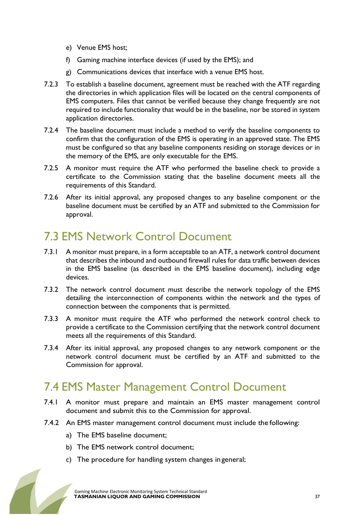- e) Venue EMS host;
- f) Gaming machine interface devices (if used by the EMS); and
- g) Communications devices that interface with a venue EMS host.
- 7.2.3 To establish a baseline document, agreement must be reached with the ATF regarding the directories in which application files will be located on the central components of EMS computers. Files that cannot be verified because they change frequently are not required to include functionality that would be in the baseline, nor be stored in system application directories.
- 7.2.4 The baseline document must include a method to verify the baseline components to confirm that the configuration of the EMS is operating in an approved state. The EMS must be configured so that any baseline components residing on storage devices or in the memory of the EMS, are only executable for the EMS.
- 7.2.5 A monitor must require the ATF who performed the baseline check to provide a certificate to the Commission stating that the baseline document meets all the requirements of this Standard.
- 7.2.6 After its initial approval, any proposed changes to any baseline component or the baseline document must be certified by an ATF and submitted to the Commission for approval.

# 7.3 EMS Network Control Document

- 7.3.1 A monitor must prepare, in a form acceptable to an ATF, a network control document that describes the inbound and outbound firewall rules for data traffic between devices in the EMS baseline (as described in the EMS baseline document), including edge devices.
- 7.3.2 The network control document must describe the network topology of the EMS detailing the interconnection of components within the network and the types of connection between the components that is permitted.
- 7.3.3 A monitor must require the ATF who performed the network control check to provide a certificate to the Commission certifying that the network control document meets all the requirements of this Standard.
- 7.3.4 After its initial approval, any proposed changes to any network component or the network control document must be certified by an ATF and submitted to the Commission for approval.

# 7.4 EMS Master Management Control Document

- 7.4.1 A monitor must prepare and maintain an EMS master management control document and submit this to the Commission for approval.
- 7.4.2 An EMS master management control document must include the following:
	- a) The EMS baseline document;
	- b) The EMS network control document;
	- c) The procedure for handling system changes in general;

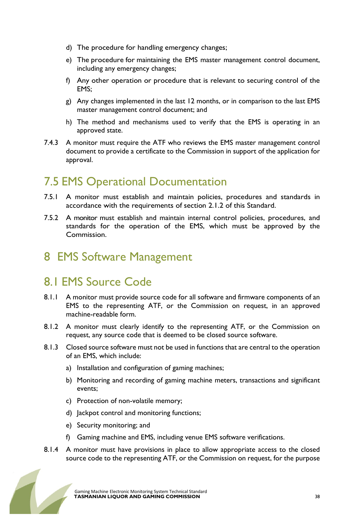- d) The procedure for handling emergency changes;
- e) The procedure for maintaining the EMS master management control document, including any emergency changes;
- f) Any other operation or procedure that is relevant to securing control of the EMS;
- g) Any changes implemented in the last 12 months, or in comparison to the last EMS master management control document; and
- h) The method and mechanisms used to verify that the EMS is operating in an approved state.
- 7.4.3 A monitor must require the ATF who reviews the EMS master management control document to provide a certificate to the Commission in support of the application for approval.

### 7.5 EMS Operational Documentation

- 7.5.1 A monitor must establish and maintain policies, procedures and standards in accordance with the requirements of section 2.1.2 of this Standard.
- 7.5.2 A monitor must establish and maintain internal control policies, procedures, and standards for the operation of the EMS, which must be approved by the Commission.

### 8 EMS Software Management

### 8.1 EMS Source Code

- 8.1.1 A monitor must provide source code for all software and firmware components of an EMS to the representing ATF, or the Commission on request, in an approved machine-readable form.
- 8.1.2 A monitor must clearly identify to the representing ATF, or the Commission on request, any source code that is deemed to be closed source software.
- 8.1.3 Closed source software must not be used in functions that are central to the operation of an EMS, which include:
	- a) Installation and configuration of gaming machines;
	- b) Monitoring and recording of gaming machine meters, transactions and significant events;
	- c) Protection of non-volatile memory;
	- d) Jackpot control and monitoring functions;
	- e) Security monitoring; and
	- f) Gaming machine and EMS, including venue EMS software verifications.
- 8.1.4 A monitor must have provisions in place to allow appropriate access to the closed source code to the representing ATF, or the Commission on request, for the purpose

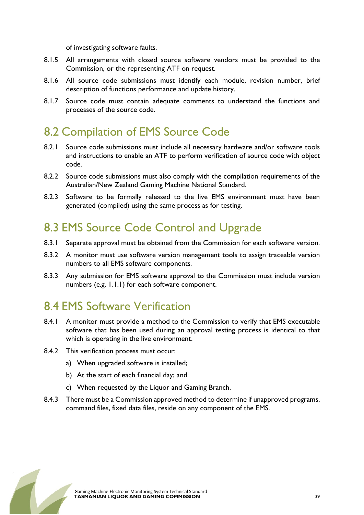of investigating software faults.

- 8.1.5 All arrangements with closed source software vendors must be provided to the Commission, or the representing ATF on request.
- 8.1.6 All source code submissions must identify each module, revision number, brief description of functions performance and update history.
- 8.1.7 Source code must contain adequate comments to understand the functions and processes of the source code.

### 8.2 Compilation of EMS Source Code

- 8.2.1 Source code submissions must include all necessary hardware and/or software tools and instructions to enable an ATF to perform verification of source code with object code.
- 8.2.2 Source code submissions must also comply with the compilation requirements of the Australian/New Zealand Gaming Machine National Standard.
- 8.2.3 Software to be formally released to the live EMS environment must have been generated (compiled) using the same process as for testing.

### 8.3 EMS Source Code Control and Upgrade

- 8.3.1 Separate approval must be obtained from the Commission for each software version.
- 8.3.2 A monitor must use software version management tools to assign traceable version numbers to all EMS software components.
- 8.3.3 Any submission for EMS software approval to the Commission must include version numbers (e.g. 1.1.1) for each software component.

### 8.4 EMS Software Verification

- 8.4.1 A monitor must provide a method to the Commission to verify that EMS executable software that has been used during an approval testing process is identical to that which is operating in the live environment.
- 8.4.2 This verification process must occur:
	- a) When upgraded software is installed;
	- b) At the start of each financial day; and
	- c) When requested by the Liquor and Gaming Branch.
- 8.4.3 There must be a Commission approved method to determine if unapproved programs, command files, fixed data files, reside on any component of the EMS.

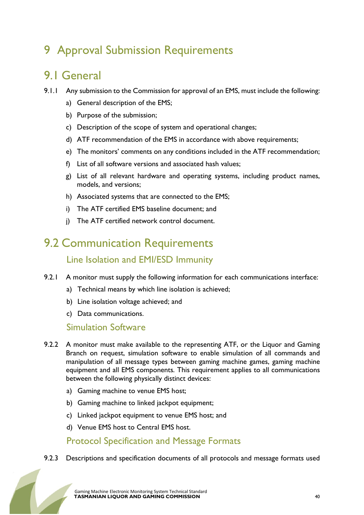# 9 Approval Submission Requirements

### 9.1 General

- 9.1.1 Any submission to the Commission for approval of an EMS, must include the following:
	- a) General description of the EMS;
	- b) Purpose of the submission;
	- c) Description of the scope of system and operational changes;
	- d) ATF recommendation of the EMS in accordance with above requirements;
	- e) The monitors' comments on any conditions included in the ATF recommendation;
	- f) List of all software versions and associated hash values;
	- g) List of all relevant hardware and operating systems, including product names, models, and versions;
	- h) Associated systems that are connected to the EMS;
	- i) The ATF certified EMS baseline document; and
	- j) The ATF certified network control document.

### 9.2 Communication Requirements Line Isolation and EMI/ESD Immunity

- 9.2.1 A monitor must supply the following information for each communications interface:
	- a) Technical means by which line isolation is achieved;
	- b) Line isolation voltage achieved; and
	- c) Data communications.

#### Simulation Software

- 9.2.2 A monitor must make available to the representing ATF, or the Liquor and Gaming Branch on request, simulation software to enable simulation of all commands and manipulation of all message types between gaming machine games, gaming machine equipment and all EMS components. This requirement applies to all communications between the following physically distinct devices:
	- a) Gaming machine to venue EMS host;
	- b) Gaming machine to linked jackpot equipment;
	- c) Linked jackpot equipment to venue EMS host; and
	- d) Venue EMS host to Central EMS host.

#### Protocol Specification and Message Formats

#### 9.2.3 Descriptions and specification documents of all protocols and message formats used

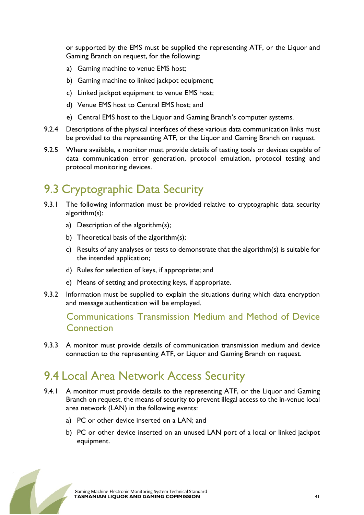or supported by the EMS must be supplied the representing ATF, or the Liquor and Gaming Branch on request, for the following:

- a) Gaming machine to venue EMS host;
- b) Gaming machine to linked jackpot equipment;
- c) Linked jackpot equipment to venue EMS host;
- d) Venue EMS host to Central EMS host; and
- e) Central EMS host to the Liquor and Gaming Branch's computer systems.
- 9.2.4 Descriptions of the physical interfaces of these various data communication links must be provided to the representing ATF, or the Liquor and Gaming Branch on request.
- 9.2.5 Where available, a monitor must provide details of testing tools or devices capable of data communication error generation, protocol emulation, protocol testing and protocol monitoring devices.

# 9.3 Cryptographic Data Security

- 9.3.1 The following information must be provided relative to cryptographic data security algorithm(s):
	- a) Description of the algorithm(s);
	- b) Theoretical basis of the algorithm(s);
	- c) Results of any analyses or tests to demonstrate that the algorithm(s) is suitable for the intended application;
	- d) Rules for selection of keys, if appropriate; and
	- e) Means of setting and protecting keys, if appropriate.
- 9.3.2 Information must be supplied to explain the situations during which data encryption and message authentication will be employed.

#### Communications Transmission Medium and Method of Device **Connection**

9.3.3 A monitor must provide details of communication transmission medium and device connection to the representing ATF, or Liquor and Gaming Branch on request.

# 9.4 Local Area Network Access Security

- 9.4.1 A monitor must provide details to the representing ATF, or the Liquor and Gaming Branch on request, the means of security to prevent illegal access to the in-venue local area network (LAN) in the following events:
	- a) PC or other device inserted on a LAN; and
	- b) PC or other device inserted on an unused LAN port of a local or linked jackpot equipment.

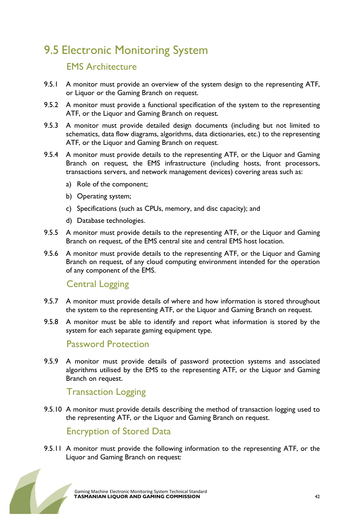# 9.5 Electronic Monitoring System

#### EMS Architecture

- 9.5.1 A monitor must provide an overview of the system design to the representing ATF, or Liquor or the Gaming Branch on request.
- 9.5.2 A monitor must provide a functional specification of the system to the representing ATF, or the Liquor and Gaming Branch on request.
- 9.5.3 A monitor must provide detailed design documents (including but not limited to schematics, data flow diagrams, algorithms, data dictionaries, etc.) to the representing ATF, or the Liquor and Gaming Branch on request.
- 9.5.4 A monitor must provide details to the representing ATF, or the Liquor and Gaming Branch on request, the EMS infrastructure (including hosts, front processors, transactions servers, and network management devices) covering areas such as:
	- a) Role of the component;
	- b) Operating system;
	- c) Specifications (such as CPUs, memory, and disc capacity); and
	- d) Database technologies.
- 9.5.5 A monitor must provide details to the representing ATF, or the Liquor and Gaming Branch on request, of the EMS central site and central EMS host location.
- 9.5.6 A monitor must provide details to the representing ATF, or the Liquor and Gaming Branch on request, of any cloud computing environment intended for the operation of any component of the EMS.

#### Central Logging

- 9.5.7 A monitor must provide details of where and how information is stored throughout the system to the representing ATF, or the Liquor and Gaming Branch on request.
- 9.5.8 A monitor must be able to identify and report what information is stored by the system for each separate gaming equipment type.

#### Password Protection

9.5.9 A monitor must provide details of password protection systems and associated algorithms utilised by the EMS to the representing ATF, or the Liquor and Gaming Branch on request.

#### Transaction Logging

9.5.10 A monitor must provide details describing the method of transaction logging used to the representing ATF, or the Liquor and Gaming Branch on request.

#### Encryption of Stored Data

9.5.11 A monitor must provide the following information to the representing ATF, or the Liquor and Gaming Branch on request:

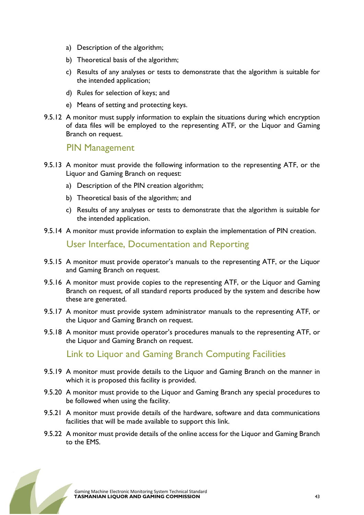- a) Description of the algorithm;
- b) Theoretical basis of the algorithm;
- c) Results of any analyses or tests to demonstrate that the algorithm is suitable for the intended application;
- d) Rules for selection of keys; and
- e) Means of setting and protecting keys.
- 9.5.12 A monitor must supply information to explain the situations during which encryption of data files will be employed to the representing ATF, or the Liquor and Gaming Branch on request.

#### PIN Management

- 9.5.13 A monitor must provide the following information to the representing ATF, or the Liquor and Gaming Branch on request:
	- a) Description of the PIN creation algorithm;
	- b) Theoretical basis of the algorithm; and
	- c) Results of any analyses or tests to demonstrate that the algorithm is suitable for the intended application.
- 9.5.14 A monitor must provide information to explain the implementation of PIN creation.

#### User Interface, Documentation and Reporting

- 9.5.15 A monitor must provide operator's manuals to the representing ATF, or the Liquor and Gaming Branch on request.
- 9.5.16 A monitor must provide copies to the representing ATF, or the Liquor and Gaming Branch on request, of all standard reports produced by the system and describe how these are generated.
- 9.5.17 A monitor must provide system administrator manuals to the representing ATF, or the Liquor and Gaming Branch on request.
- 9.5.18 A monitor must provide operator's procedures manuals to the representing ATF, or the Liquor and Gaming Branch on request.

Link to Liquor and Gaming Branch Computing Facilities

- 9.5.19 A monitor must provide details to the Liquor and Gaming Branch on the manner in which it is proposed this facility is provided.
- 9.5.20 A monitor must provide to the Liquor and Gaming Branch any special procedures to be followed when using the facility.
- 9.5.21 A monitor must provide details of the hardware, software and data communications facilities that will be made available to support this link.
- 9.5.22 A monitor must provide details of the online access for the Liquor and Gaming Branch to the EMS.

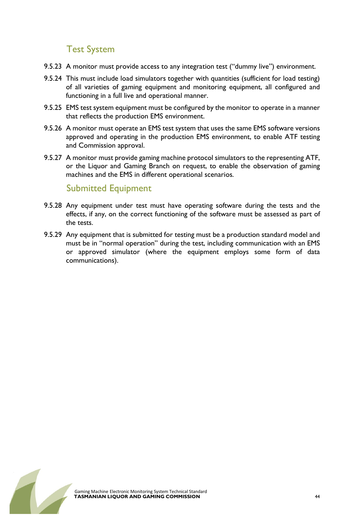#### Test System

- 9.5.23 A monitor must provide access to any integration test ("dummy live") environment.
- 9.5.24 This must include load simulators together with quantities (sufficient for load testing) of all varieties of gaming equipment and monitoring equipment, all configured and functioning in a full live and operational manner.
- 9.5.25 EMS test system equipment must be configured by the monitor to operate in a manner that reflects the production EMS environment.
- 9.5.26 A monitor must operate an EMS test system that uses the same EMS software versions approved and operating in the production EMS environment, to enable ATF testing and Commission approval.
- 9.5.27 A monitor must provide gaming machine protocol simulators to the representing ATF, or the Liquor and Gaming Branch on request, to enable the observation of gaming machines and the EMS in different operational scenarios.

#### Submitted Equipment

- 9.5.28 Any equipment under test must have operating software during the tests and the effects, if any, on the correct functioning of the software must be assessed as part of the tests.
- 9.5.29 Any equipment that is submitted for testing must be a production standard model and must be in "normal operation" during the test, including communication with an EMS or approved simulator (where the equipment employs some form of data communications).

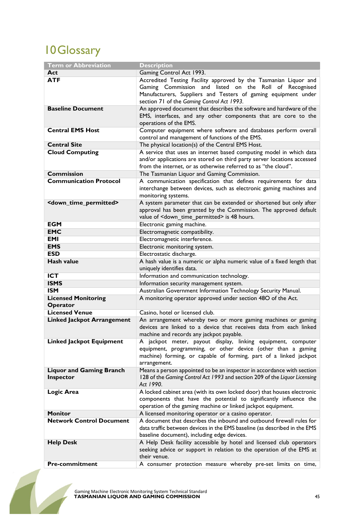# 10Glossary

| <b>Term or Abbreviation</b>                  | <b>Description</b>                                                                                                                                                                                                                         |
|----------------------------------------------|--------------------------------------------------------------------------------------------------------------------------------------------------------------------------------------------------------------------------------------------|
| Act                                          | Gaming Control Act 1993.                                                                                                                                                                                                                   |
| <b>ATF</b>                                   | Accredited Testing Facility approved by the Tasmanian Liquor and<br>Gaming Commission and listed on the Roll of Recognised<br>Manufacturers, Suppliers and Testers of gaming equipment under<br>section 71 of the Gaming Control Act 1993. |
| <b>Baseline Document</b>                     | An approved document that describes the software and hardware of the<br>EMS, interfaces, and any other components that are core to the<br>operations of the EMS.                                                                           |
| <b>Central EMS Host</b>                      | Computer equipment where software and databases perform overall<br>control and management of functions of the EMS.                                                                                                                         |
| <b>Central Site</b>                          | The physical location(s) of the Central EMS Host.                                                                                                                                                                                          |
| <b>Cloud Computing</b>                       | A service that uses an internet based computing model in which data<br>and/or applications are stored on third party server locations accessed<br>from the internet, or as otherwise referred to as "the cloud".                           |
| <b>Commission</b>                            | The Tasmanian Liquor and Gaming Commission.                                                                                                                                                                                                |
| <b>Communication Protocol</b>                | A communication specification that defines requirements for data<br>interchange between devices, such as electronic gaming machines and<br>monitoring systems.                                                                             |
| <down_time_permitted></down_time_permitted>  | A system parameter that can be extended or shortened but only after<br>approval has been granted by the Commission. The approved default<br>value of <down_time_permitted> is 48 hours.</down_time_permitted>                              |
| <b>EGM</b>                                   | Electronic gaming machine.                                                                                                                                                                                                                 |
| <b>EMC</b>                                   | Electromagnetic compatibility.                                                                                                                                                                                                             |
| <b>EMI</b>                                   | Electromagnetic interference.                                                                                                                                                                                                              |
| <b>EMS</b>                                   | Electronic monitoring system.                                                                                                                                                                                                              |
| <b>ESD</b>                                   | Electrostatic discharge.                                                                                                                                                                                                                   |
| <b>Hash value</b>                            | A hash value is a numeric or alpha numeric value of a fixed length that<br>uniquely identifies data.                                                                                                                                       |
| <b>ICT</b>                                   | Information and communication technology.                                                                                                                                                                                                  |
| <b>ISMS</b>                                  | Information security management system.                                                                                                                                                                                                    |
| <b>ISM</b>                                   | Australian Government Information Technology Security Manual.                                                                                                                                                                              |
| <b>Licensed Monitoring</b><br>Operator       | A monitoring operator approved under section 48O of the Act.                                                                                                                                                                               |
| <b>Licensed Venue</b>                        | Casino, hotel or licensed club.                                                                                                                                                                                                            |
| <b>Linked Jackpot Arrangement</b>            | An arrangement whereby two or more gaming machines or gaming<br>devices are linked to a device that receives data from each linked<br>machine and records any jackpot payable.                                                             |
| <b>Linked Jackpot Equipment</b>              | A jackpot meter, payout display, linking equipment, computer<br>equipment, programming, or other device (other than a gaming<br>machine) forming, or capable of forming, part of a linked jackpot<br>arrangement.                          |
| <b>Liquor and Gaming Branch</b><br>Inspector | Means a person appointed to be an inspector in accordance with section<br>128 of the Gaming Control Act 1993 and section 209 of the Liquor Licensing<br>Act 1990.                                                                          |
| Logic Area                                   | A locked cabinet area (with its own locked door) that houses electronic<br>components that have the potential to significantly influence the<br>operation of the gaming machine or linked jackpot equipment.                               |
| <b>Monitor</b>                               | A licensed monitoring operator or a casino operator.                                                                                                                                                                                       |
| <b>Network Control Document</b>              | A document that describes the inbound and outbound firewall rules for<br>data traffic between devices in the EMS baseline (as described in the EMS<br>baseline document), including edge devices.                                          |
| <b>Help Desk</b>                             | A Help Desk facility accessible by hotel and licensed club operators<br>seeking advice or support in relation to the operation of the EMS at<br>their venue.                                                                               |
| <b>Pre-commitment</b>                        | A consumer protection measure whereby pre-set limits on time,                                                                                                                                                                              |

 $\blacksquare$